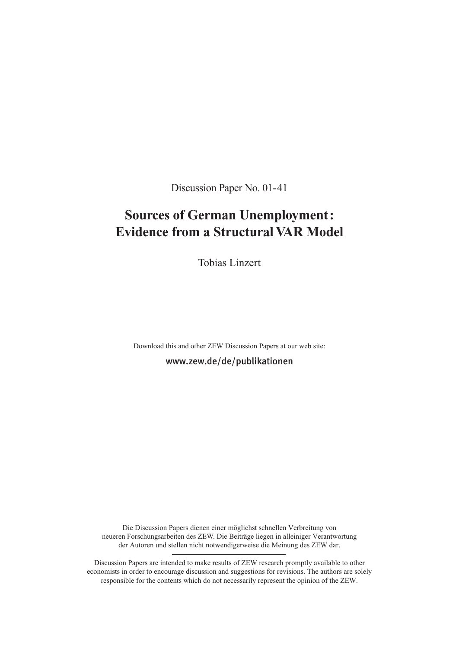Discussion Paper No. 01-41

# **Sources of German Unemployment: Evidence from a Structural VAR Model**

Tobias Linzert

Download this and other ZEW Discussion Papers at our web site: www.zew.de/de/publikationen

Die Discussion Papers dienen einer möglichst schnellen Verbreitung von neueren Forschungsarbeiten des ZEW. Die Beiträge liegen in alleiniger Verantwortung der Autoren und stellen nicht notwendigerweise die Meinung des ZEW dar.

Discussion Papers are intended to make results of ZEW research promptly available to other economists in order to encourage discussion and suggestions for revisions. The authors are solely responsible for the contents which do not necessarily represent the opinion of the ZEW.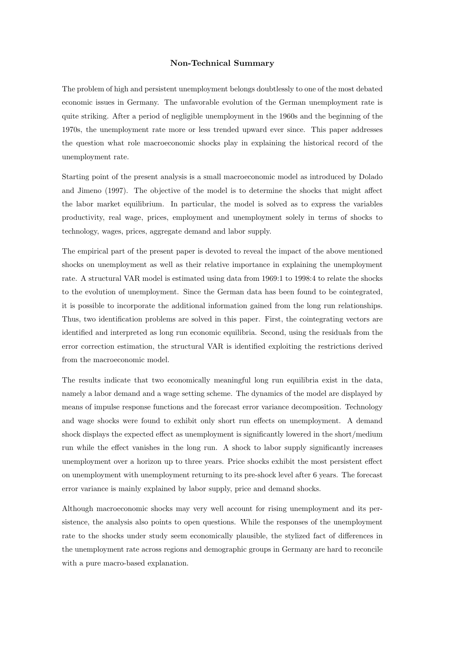#### **Non-Technical Summary**

The problem of high and persistent unemployment belongs doubtlessly to one of the most debated economic issues in Germany. The unfavorable evolution of the German unemployment rate is quite striking. After a period of negligible unemployment in the 1960s and the beginning of the 1970s, the unemployment rate more or less trended upward ever since. This paper addresses the question what role macroeconomic shocks play in explaining the historical record of the unemployment rate.

Starting point of the present analysis is a small macroeconomic model as introduced by Dolado and Jimeno (1997). The objective of the model is to determine the shocks that might affect the labor market equilibrium. In particular, the model is solved as to express the variables productivity, real wage, prices, employment and unemployment solely in terms of shocks to technology, wages, prices, aggregate demand and labor supply.

The empirical part of the present paper is devoted to reveal the impact of the above mentioned shocks on unemployment as well as their relative importance in explaining the unemployment rate. A structural VAR model is estimated using data from 1969:1 to 1998:4 to relate the shocks to the evolution of unemployment. Since the German data has been found to be cointegrated, it is possible to incorporate the additional information gained from the long run relationships. Thus, two identification problems are solved in this paper. First, the cointegrating vectors are identified and interpreted as long run economic equilibria. Second, using the residuals from the error correction estimation, the structural VAR is identified exploiting the restrictions derived from the macroeconomic model.

The results indicate that two economically meaningful long run equilibria exist in the data, namely a labor demand and a wage setting scheme. The dynamics of the model are displayed by means of impulse response functions and the forecast error variance decomposition. Technology and wage shocks were found to exhibit only short run effects on unemployment. A demand shock displays the expected effect as unemployment is significantly lowered in the short/medium run while the effect vanishes in the long run. A shock to labor supply significantly increases unemployment over a horizon up to three years. Price shocks exhibit the most persistent effect on unemployment with unemployment returning to its pre-shock level after 6 years. The forecast error variance is mainly explained by labor supply, price and demand shocks.

Although macroeconomic shocks may very well account for rising unemployment and its persistence, the analysis also points to open questions. While the responses of the unemployment rate to the shocks under study seem economically plausible, the stylized fact of differences in the unemployment rate across regions and demographic groups in Germany are hard to reconcile with a pure macro-based explanation.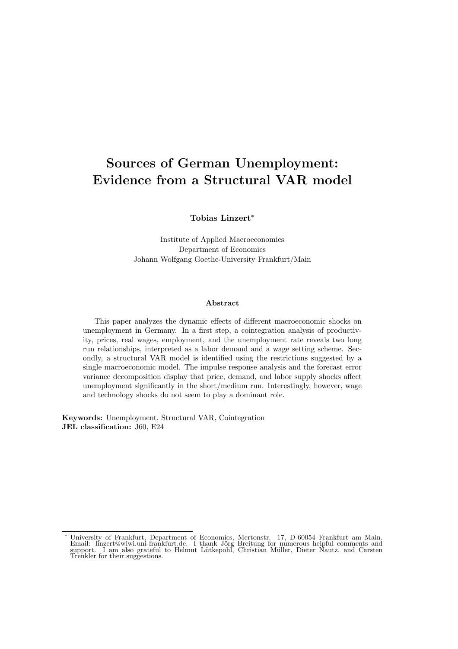# **Sources of German Unemployment: Evidence from a Structural VAR model**

**Tobias Linzert**∗

Institute of Applied Macroeconomics Department of Economics Johann Wolfgang Goethe-University Frankfurt/Main

#### **Abstract**

This paper analyzes the dynamic effects of different macroeconomic shocks on unemployment in Germany. In a first step, a cointegration analysis of productivity, prices, real wages, employment, and the unemployment rate reveals two long run relationships, interpreted as a labor demand and a wage setting scheme. Secondly, a structural VAR model is identified using the restrictions suggested by a single macroeconomic model. The impulse response analysis and the forecast error variance decomposition display that price, demand, and labor supply shocks affect unemployment significantly in the short/medium run. Interestingly, however, wage and technology shocks do not seem to play a dominant role.

**Keywords:** Unemployment, Structural VAR, Cointegration **JEL classification:** J60, E24

<sup>∗</sup> University of Frankfurt, Department of Economics, Mertonstr. 17, D-60054 Frankfurt am Main. Email: linzert@wiwi.uni-frankfurt.de. I thank Jörg Breitung for numerous helpful comments and support. I am also grateful to Helmut Lütkepohl, Christian Müller, Dieter Nautz, and Carsten<br>Trenkler for their suggestions.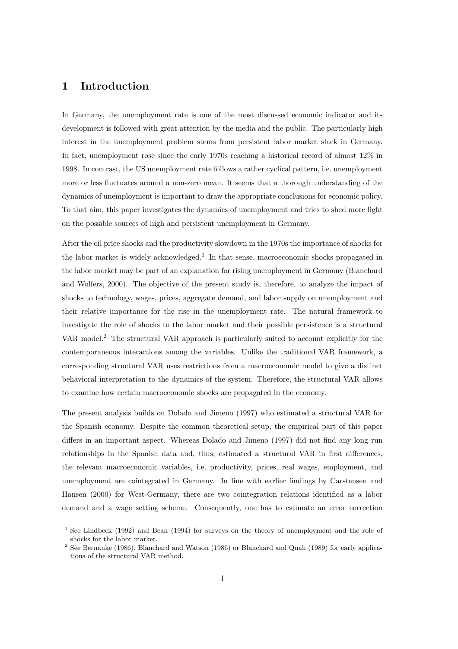### **1 Introduction**

In Germany, the unemployment rate is one of the most discussed economic indicator and its development is followed with great attention by the media and the public. The particularly high interest in the unemployment problem stems from persistent labor market slack in Germany. In fact, unemployment rose since the early 1970s reaching a historical record of almost 12% in 1998. In contrast, the US unemployment rate follows a rather cyclical pattern, i.e. unemployment more or less fluctuates around a non-zero mean. It seems that a thorough understanding of the dynamics of unemployment is important to draw the appropriate conclusions for economic policy. To that aim, this paper investigates the dynamics of unemployment and tries to shed more light on the possible sources of high and persistent unemployment in Germany.

After the oil price shocks and the productivity slowdown in the 1970s the importance of shocks for the labor market is widely acknowledged.<sup>1</sup> In that sense, macroeconomic shocks propagated in the labor market may be part of an explanation for rising unemployment in Germany (Blanchard and Wolfers, 2000). The objective of the present study is, therefore, to analyze the impact of shocks to technology, wages, prices, aggregate demand, and labor supply on unemployment and their relative importance for the rise in the unemployment rate. The natural framework to investigate the role of shocks to the labor market and their possible persistence is a structural VAR model.<sup>2</sup> The structural VAR approach is particularly suited to account explicitly for the contemporaneous interactions among the variables. Unlike the traditional VAR framework, a corresponding structural VAR uses restrictions from a macroeconomic model to give a distinct behavioral interpretation to the dynamics of the system. Therefore, the structural VAR allows to examine how certain macroeconomic shocks are propagated in the economy.

The present analysis builds on Dolado and Jimeno (1997) who estimated a structural VAR for the Spanish economy. Despite the common theoretical setup, the empirical part of this paper differs in an important aspect. Whereas Dolado and Jimeno (1997) did not find any long run relationships in the Spanish data and, thus, estimated a structural VAR in first differences, the relevant macroeconomic variables, i.e. productivity, prices, real wages, employment, and unemployment are cointegrated in Germany. In line with earlier findings by Carstensen and Hansen (2000) for West-Germany, there are two cointegration relations identified as a labor demand and a wage setting scheme. Consequently, one has to estimate an error correction

<sup>&</sup>lt;sup>1</sup> See Lindbeck (1992) and Bean (1994) for surveys on the theory of unemployment and the role of shocks for the labor market.

<sup>&</sup>lt;sup>2</sup> See Bernanke (1986), Blanchard and Watson (1986) or Blanchard and Quah (1989) for early applications of the structural VAR method.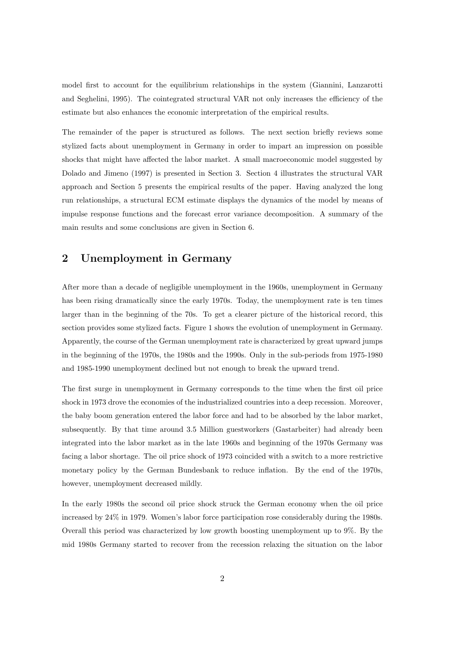model first to account for the equilibrium relationships in the system (Giannini, Lanzarotti and Seghelini, 1995). The cointegrated structural VAR not only increases the efficiency of the estimate but also enhances the economic interpretation of the empirical results.

The remainder of the paper is structured as follows. The next section briefly reviews some stylized facts about unemployment in Germany in order to impart an impression on possible shocks that might have affected the labor market. A small macroeconomic model suggested by Dolado and Jimeno (1997) is presented in Section 3. Section 4 illustrates the structural VAR approach and Section 5 presents the empirical results of the paper. Having analyzed the long run relationships, a structural ECM estimate displays the dynamics of the model by means of impulse response functions and the forecast error variance decomposition. A summary of the main results and some conclusions are given in Section 6.

# **2 Unemployment in Germany**

After more than a decade of negligible unemployment in the 1960s, unemployment in Germany has been rising dramatically since the early 1970s. Today, the unemployment rate is ten times larger than in the beginning of the 70s. To get a clearer picture of the historical record, this section provides some stylized facts. Figure 1 shows the evolution of unemployment in Germany. Apparently, the course of the German unemployment rate is characterized by great upward jumps in the beginning of the 1970s, the 1980s and the 1990s. Only in the sub-periods from 1975-1980 and 1985-1990 unemployment declined but not enough to break the upward trend.

The first surge in unemployment in Germany corresponds to the time when the first oil price shock in 1973 drove the economies of the industrialized countries into a deep recession. Moreover, the baby boom generation entered the labor force and had to be absorbed by the labor market, subsequently. By that time around 3.5 Million guestworkers (Gastarbeiter) had already been integrated into the labor market as in the late 1960s and beginning of the 1970s Germany was facing a labor shortage. The oil price shock of 1973 coincided with a switch to a more restrictive monetary policy by the German Bundesbank to reduce inflation. By the end of the 1970s, however, unemployment decreased mildly.

In the early 1980s the second oil price shock struck the German economy when the oil price increased by 24% in 1979. Women's labor force participation rose considerably during the 1980s. Overall this period was characterized by low growth boosting unemployment up to 9%. By the mid 1980s Germany started to recover from the recession relaxing the situation on the labor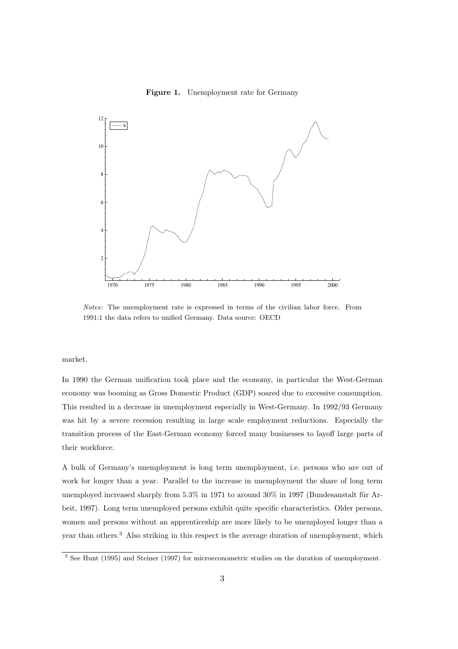

**Figure 1.** Unemployment rate for Germany

Notes: The unemployment rate is expressed in terms of the civilian labor force. From 1991:1 the data refers to unified Germany. Data source: OECD

market.

In 1990 the German unification took place and the economy, in particular the West-German economy was booming as Gross Domestic Product (GDP) soared due to excessive consumption. This resulted in a decrease in unemployment especially in West-Germany. In 1992/93 Germany was hit by a severe recession resulting in large scale employment reductions. Especially the transition process of the East-German economy forced many businesses to layoff large parts of their workforce.

A bulk of Germany's unemployment is long term unemployment, i.e. persons who are out of work for longer than a year. Parallel to the increase in unemployment the share of long term unemployed increased sharply from  $5.3\%$  in 1971 to around  $30\%$  in 1997 (Bundesanstalt für Arbeit, 1997). Long term unemployed persons exhibit quite specific characteristics. Older persons, women and persons without an apprenticeship are more likely to be unemployed longer than a year than others.<sup>3</sup> Also striking in this respect is the average duration of unemployment, which

<sup>&</sup>lt;sup>3</sup> See Hunt (1995) and Steiner (1997) for microeconometric studies on the duration of unemployment.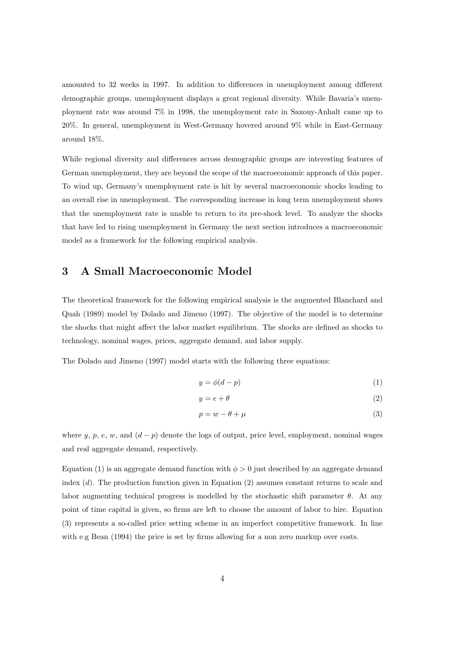amounted to 32 weeks in 1997. In addition to differences in unemployment among different demographic groups, unemployment displays a great regional diversity. While Bavaria's unemployment rate was around 7% in 1998, the unemployment rate in Saxony-Anhalt came up to 20%. In general, unemployment in West-Germany hovered around 9% while in East-Germany around 18%.

While regional diversity and differences across demographic groups are interesting features of German unemployment, they are beyond the scope of the macroeconomic approach of this paper. To wind up, Germany's unemployment rate is hit by several macroeconomic shocks leading to an overall rise in unemployment. The corresponding increase in long term unemployment shows that the unemployment rate is unable to return to its pre-shock level. To analyze the shocks that have led to rising unemployment in Germany the next section introduces a macroeconomic model as a framework for the following empirical analysis.

# **3 A Small Macroeconomic Model**

The theoretical framework for the following empirical analysis is the augmented Blanchard and Quah (1989) model by Dolado and Jimeno (1997). The objective of the model is to determine the shocks that might affect the labor market equilibrium. The shocks are defined as shocks to technology, nominal wages, prices, aggregate demand, and labor supply.

The Dolado and Jimeno (1997) model starts with the following three equations:

$$
y = \phi(d - p) \tag{1}
$$

$$
y = e + \theta \tag{2}
$$

$$
p = w - \theta + \mu \tag{3}
$$

where y, p, e, w, and  $(d - p)$  denote the logs of output, price level, employment, nominal wages and real aggregate demand, respectively.

Equation (1) is an aggregate demand function with  $\phi > 0$  just described by an aggregate demand index  $(d)$ . The production function given in Equation (2) assumes constant returns to scale and labor augmenting technical progress is modelled by the stochastic shift parameter  $\theta$ . At any point of time capital is given, so firms are left to choose the amount of labor to hire. Equation (3) represents a so-called price setting scheme in an imperfect competitive framework. In line with e.g Bean (1994) the price is set by firms allowing for a non zero markup over costs.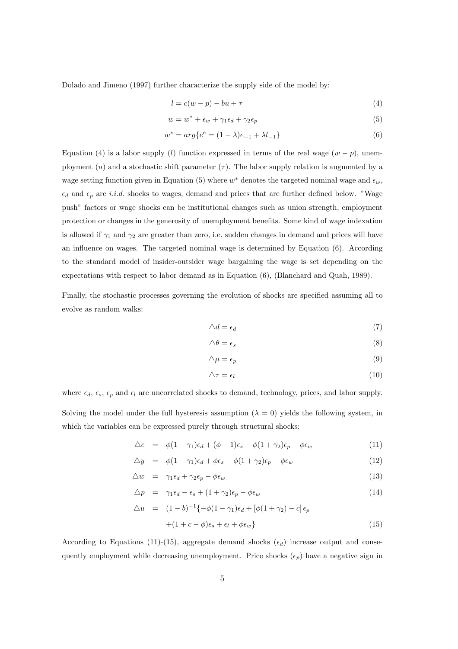Dolado and Jimeno (1997) further characterize the supply side of the model by:

$$
l = c(w - p) - bu + \tau \tag{4}
$$

$$
w = w^* + \epsilon_w + \gamma_1 \epsilon_d + \gamma_2 \epsilon_p \tag{5}
$$

$$
w^* = arg\{e^e = (1 - \lambda)e_{-1} + \lambda l_{-1}\}\tag{6}
$$

Equation (4) is a labor supply (l) function expressed in terms of the real wage  $(w - p)$ , unemployment (u) and a stochastic shift parameter  $(\tau)$ . The labor supply relation is augmented by a wage setting function given in Equation (5) where  $w^*$  denotes the targeted nominal wage and  $\epsilon_w$ ,  $\epsilon_d$  and  $\epsilon_p$  are *i.i.d.* shocks to wages, demand and prices that are further defined below. "Wage push" factors or wage shocks can be institutional changes such as union strength, employment protection or changes in the generosity of unemployment benefits. Some kind of wage indexation is allowed if  $\gamma_1$  and  $\gamma_2$  are greater than zero, i.e. sudden changes in demand and prices will have an influence on wages. The targeted nominal wage is determined by Equation (6). According to the standard model of insider-outsider wage bargaining the wage is set depending on the expectations with respect to labor demand as in Equation (6), (Blanchard and Quah, 1989).

Finally, the stochastic processes governing the evolution of shocks are specified assuming all to evolve as random walks:

$$
\triangle d = \epsilon_d \tag{7}
$$

$$
\triangle \theta = \epsilon_s \tag{8}
$$

$$
\triangle \mu = \epsilon_p \tag{9}
$$

$$
\Delta \tau = \epsilon_l \tag{10}
$$

where  $\epsilon_d$ ,  $\epsilon_s$ ,  $\epsilon_p$  and  $\epsilon_l$  are uncorrelated shocks to demand, technology, prices, and labor supply. Solving the model under the full hysteresis assumption  $(\lambda = 0)$  yields the following system, in

which the variables can be expressed purely through structural shocks:

$$
\Delta e = \phi(1 - \gamma_1)\epsilon_d + (\phi - 1)\epsilon_s - \phi(1 + \gamma_2)\epsilon_p - \phi\epsilon_w \tag{11}
$$

$$
\Delta y = \phi(1 - \gamma_1)\epsilon_d + \phi\epsilon_s - \phi(1 + \gamma_2)\epsilon_p - \phi\epsilon_w \tag{12}
$$

$$
\Delta w = \gamma_1 \epsilon_d + \gamma_2 \epsilon_p - \phi \epsilon_w \tag{13}
$$

$$
\Delta p = \gamma_1 \epsilon_d - \epsilon_s + (1 + \gamma_2)\epsilon_p - \phi \epsilon_w \tag{14}
$$

$$
\Delta u = (1 - b)^{-1} \{ -\phi (1 - \gamma_1) \epsilon_d + [\phi (1 + \gamma_2) - c] \epsilon_p
$$
  
 
$$
+ (1 + c - \phi) \epsilon_s + \epsilon_l + \phi \epsilon_w \}
$$
 (15)

According to Equations (11)-(15), aggregate demand shocks  $(\epsilon_d)$  increase output and consequently employment while decreasing unemployment. Price shocks  $(\epsilon_p)$  have a negative sign in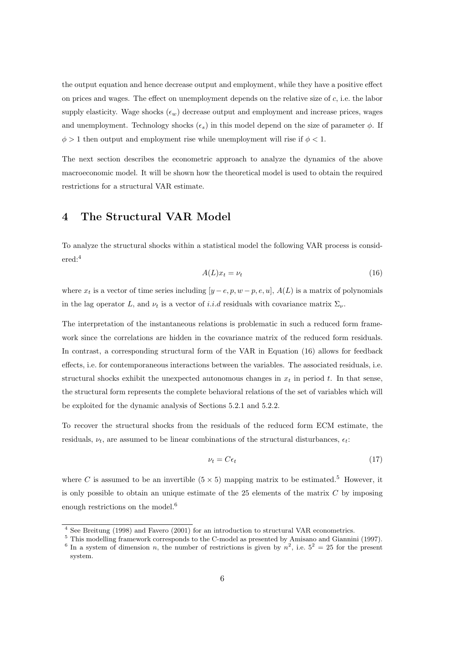the output equation and hence decrease output and employment, while they have a positive effect on prices and wages. The effect on unemployment depends on the relative size of  $c$ , i.e. the labor supply elasticity. Wage shocks  $(\epsilon_w)$  decrease output and employment and increase prices, wages and unemployment. Technology shocks  $(\epsilon_s)$  in this model depend on the size of parameter  $\phi$ . If  $\phi > 1$  then output and employment rise while unemployment will rise if  $\phi < 1$ .

The next section describes the econometric approach to analyze the dynamics of the above macroeconomic model. It will be shown how the theoretical model is used to obtain the required restrictions for a structural VAR estimate.

# **4 The Structural VAR Model**

To analyze the structural shocks within a statistical model the following VAR process is considered:<sup>4</sup>

$$
A(L)x_t = \nu_t \tag{16}
$$

where  $x_t$  is a vector of time series including  $[y-e, p, w-p, e, u]$ ,  $A(L)$  is a matrix of polynomials in the lag operator L, and  $\nu_t$  is a vector of i.i.d residuals with covariance matrix  $\Sigma_{\nu}$ .

The interpretation of the instantaneous relations is problematic in such a reduced form framework since the correlations are hidden in the covariance matrix of the reduced form residuals. In contrast, a corresponding structural form of the VAR in Equation (16) allows for feedback effects, i.e. for contemporaneous interactions between the variables. The associated residuals, i.e. structural shocks exhibit the unexpected autonomous changes in  $x_t$  in period t. In that sense, the structural form represents the complete behavioral relations of the set of variables which will be exploited for the dynamic analysis of Sections 5.2.1 and 5.2.2.

To recover the structural shocks from the residuals of the reduced form ECM estimate, the residuals,  $\nu_t$ , are assumed to be linear combinations of the structural disturbances,  $\epsilon_t$ .

$$
\nu_t = C \epsilon_t \tag{17}
$$

where C is assumed to be an invertible  $(5 \times 5)$  mapping matrix to be estimated.<sup>5</sup> However, it is only possible to obtain an unique estimate of the  $25$  elements of the matrix  $C$  by imposing enough restrictions on the model.<sup>6</sup>

<sup>4</sup> See Breitung (1998) and Favero (2001) for an introduction to structural VAR econometrics.

<sup>5</sup> This modelling framework corresponds to the C-model as presented by Amisano and Giannini (1997).

<sup>&</sup>lt;sup>6</sup> In a system of dimension *n*, the number of restrictions is given by  $n^2$ , i.e.  $5^2 = 25$  for the present system.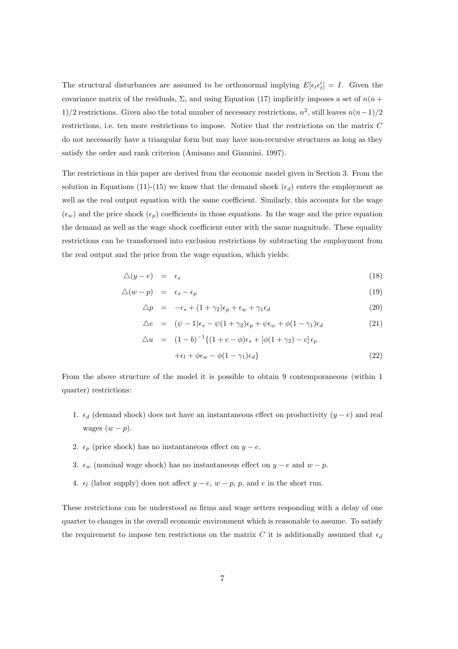The structural disturbances are assumed to be orthonormal implying  $E[\epsilon_t \epsilon'_t] = I$ . Given the covariance matrix of the residuals,  $\Sigma$ , and using Equation (17) implicitly imposes a set of  $n(n + 1)$ 1)/2 restrictions. Given also the total number of necessary restrictions,  $n^2$ , still leaves  $n(n-1)/2$ restrictions, i.e. ten more restrictions to impose. Notice that the restrictions on the matrix C do not necessarily have a triangular form but may have non-recursive structures as long as they satisfy the order and rank criterion (Amisano and Giannini, 1997).

The restrictions in this paper are derived from the economic model given in Section 3. From the solution in Equations (11)-(15) we know that the demand shock  $(\epsilon_d)$  enters the employment as well as the real output equation with the same coefficient. Similarly, this accounts for the wage  $(\epsilon_w)$  and the price shock  $(\epsilon_p)$  coefficients in those equations. In the wage and the price equation the demand as well as the wage shock coefficient enter with the same magnitude. These equality restrictions can be transformed into exclusion restrictions by subtracting the employment from the real output and the price from the wage equation, which yields:

$$
\Delta(y - e) = \epsilon_s \tag{18}
$$

$$
\triangle(w-p) = \epsilon_s - \epsilon_p \tag{19}
$$

$$
\Delta p = -\epsilon_s + (1 + \gamma_2)\epsilon_p + \epsilon_w + \gamma_1 \epsilon_d \tag{20}
$$

$$
\Delta e = (\psi - 1)\epsilon_s - \psi(1 + \gamma_2)\epsilon_p + \psi\epsilon_w + \phi(1 - \gamma_1)\epsilon_d \tag{21}
$$

$$
\Delta u = (1 - b)^{-1} \{ (1 + c - \phi)\epsilon_s + [\phi(1 + \gamma_2) - c] \epsilon_p
$$
  
 
$$
+ \epsilon_l + \phi \epsilon_w - \phi(1 - \gamma_1)\epsilon_d \}
$$
 (22)

From the above structure of the model it is possible to obtain 9 contemporaneous (within 1 quarter) restrictions:

- 1.  $\epsilon_d$  (demand shock) does not have an instantaneous effect on productivity  $(y e)$  and real wages  $(w - p)$ .
- 2.  $\epsilon_p$  (price shock) has no instantaneous effect on  $y e$ .
- 3.  $\epsilon_w$  (nominal wage shock) has no instantaneous effect on  $y e$  and  $w p$ .
- 4.  $\epsilon_l$  (labor supply) does not affect  $y e$ ,  $w p$ ,  $p$ , and e in the short run.

These restrictions can be understood as firms and wage setters responding with a delay of one quarter to changes in the overall economic environment which is reasonable to assume. To satisfy the requirement to impose ten restrictions on the matrix C it is additionally assumed that  $\epsilon_d$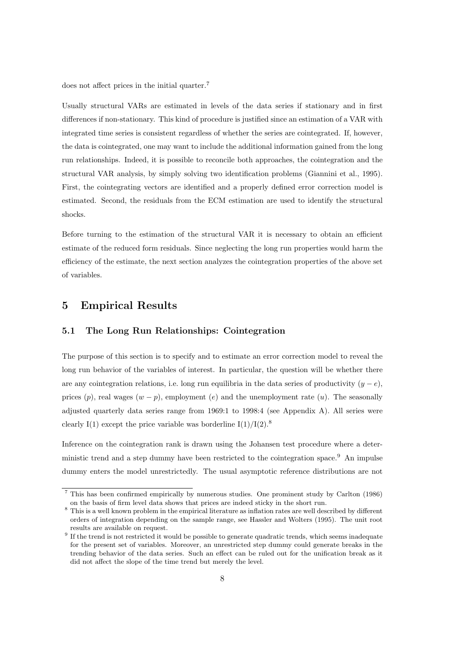does not affect prices in the initial quarter.<sup>7</sup>

Usually structural VARs are estimated in levels of the data series if stationary and in first differences if non-stationary. This kind of procedure is justified since an estimation of a VAR with integrated time series is consistent regardless of whether the series are cointegrated. If, however, the data is cointegrated, one may want to include the additional information gained from the long run relationships. Indeed, it is possible to reconcile both approaches, the cointegration and the structural VAR analysis, by simply solving two identification problems (Giannini et al., 1995). First, the cointegrating vectors are identified and a properly defined error correction model is estimated. Second, the residuals from the ECM estimation are used to identify the structural shocks.

Before turning to the estimation of the structural VAR it is necessary to obtain an efficient estimate of the reduced form residuals. Since neglecting the long run properties would harm the efficiency of the estimate, the next section analyzes the cointegration properties of the above set of variables.

### **5 Empirical Results**

#### **5.1 The Long Run Relationships: Cointegration**

The purpose of this section is to specify and to estimate an error correction model to reveal the long run behavior of the variables of interest. In particular, the question will be whether there are any cointegration relations, i.e. long run equilibria in the data series of productivity  $(y - e)$ , prices  $(p)$ , real wages  $(w - p)$ , employment  $(e)$  and the unemployment rate  $(u)$ . The seasonally adjusted quarterly data series range from 1969:1 to 1998:4 (see Appendix A). All series were clearly I(1) except the price variable was borderline  $I(1)/I(2)$ .<sup>8</sup>

Inference on the cointegration rank is drawn using the Johansen test procedure where a deterministic trend and a step dummy have been restricted to the cointegration space.<sup>9</sup> An impulse dummy enters the model unrestrictedly. The usual asymptotic reference distributions are not

<sup>7</sup> This has been confirmed empirically by numerous studies. One prominent study by Carlton (1986) on the basis of firm level data shows that prices are indeed sticky in the short run.

<sup>&</sup>lt;sup>8</sup> This is a well known problem in the empirical literature as inflation rates are well described by different orders of integration depending on the sample range, see Hassler and Wolters (1995). The unit root results are available on request.

<sup>&</sup>lt;sup>9</sup> If the trend is not restricted it would be possible to generate quadratic trends, which seems inadequate for the present set of variables. Moreover, an unrestricted step dummy could generate breaks in the trending behavior of the data series. Such an effect can be ruled out for the unification break as it did not affect the slope of the time trend but merely the level.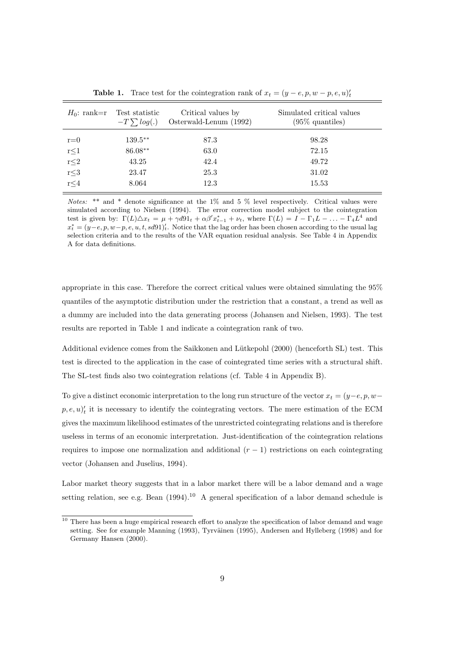| $H_0$ : rank=r | Test statistic<br>$-T \sum log(.)$ | Critical values by<br>Osterwald-Lenum (1992) | Simulated critical values<br>$(95\%$ quantiles) |
|----------------|------------------------------------|----------------------------------------------|-------------------------------------------------|
| $r = 0$        | $139.5**$                          | 87.3                                         | 98.28                                           |
| $r \leq 1$     | 86.08**                            | 63.0                                         | 72.15                                           |
| $r{\leq}2$     | 43.25                              | 42.4                                         | 49.72                                           |
| $r\leq 3$      | 23.47                              | 25.3                                         | 31.02                                           |
| $r \leq 4$     | 8.064                              | 12.3                                         | 15.53                                           |
|                |                                    |                                              |                                                 |

**Table 1.** Trace test for the cointegration rank of  $x_t = (y - e, p, w - p, e, u)_t$ 

*Notes:* \*\* and \* denote significance at the 1% and 5 % level respectively. Critical values were simulated according to Nielsen (1994). The error correction model subject to the cointegration test is given by:  $\Gamma(L)\Delta x_t = \mu + \gamma d91_t + \alpha\beta' x_{t-1}^* + \nu_t$ , where  $\Gamma(L) = I - \Gamma_1 L - \ldots - \Gamma_4 L^4$  and  $x_t^* = (y - e, p, w - p, e, u, t, sd91)_t'.$  Notice that the lag order has been chosen according to the usual lag selection criteria and to the results of the VAR equation residual analysis. See Table 4 in Appendix A for data definitions.

appropriate in this case. Therefore the correct critical values were obtained simulating the 95% quantiles of the asymptotic distribution under the restriction that a constant, a trend as well as a dummy are included into the data generating process (Johansen and Nielsen, 1993). The test results are reported in Table 1 and indicate a cointegration rank of two.

Additional evidence comes from the Saikkonen and Lütkepohl (2000) (henceforth SL) test. This test is directed to the application in the case of cointegrated time series with a structural shift. The SL-test finds also two cointegration relations (cf. Table 4 in Appendix B).

To give a distinct economic interpretation to the long run structure of the vector  $x_t = (y-e, p, w$  $p, e, u)'_t$  it is necessary to identify the cointegrating vectors. The mere estimation of the ECM gives the maximum likelihood estimates of the unrestricted cointegrating relations and is therefore useless in terms of an economic interpretation. Just-identification of the cointegration relations requires to impose one normalization and additional  $(r - 1)$  restrictions on each cointegrating vector (Johansen and Juselius, 1994).

Labor market theory suggests that in a labor market there will be a labor demand and a wage setting relation, see e.g. Bean  $(1994)$ .<sup>10</sup> A general specification of a labor demand schedule is

<sup>&</sup>lt;sup>10</sup> There has been a huge empirical research effort to analyze the specification of labor demand and wage setting. See for example Manning (1993), Tyrväinen (1995), Andersen and Hylleberg (1998) and for Germany Hansen (2000).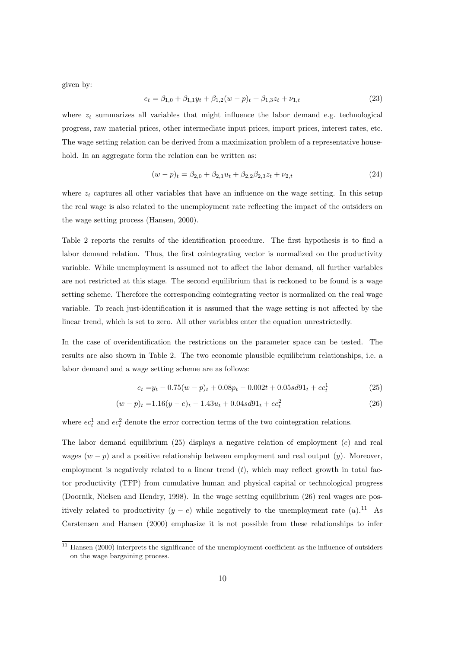given by:

$$
e_t = \beta_{1,0} + \beta_{1,1}y_t + \beta_{1,2}(w - p)_t + \beta_{1,3}z_t + \nu_{1,t}
$$
\n(23)

where  $z_t$  summarizes all variables that might influence the labor demand e.g. technological progress, raw material prices, other intermediate input prices, import prices, interest rates, etc. The wage setting relation can be derived from a maximization problem of a representative household. In an aggregate form the relation can be written as:

$$
(w - p)_t = \beta_{2,0} + \beta_{2,1}u_t + \beta_{2,2}\beta_{2,3}z_t + \nu_{2,t}
$$
\n
$$
(24)
$$

where  $z_t$  captures all other variables that have an influence on the wage setting. In this setup the real wage is also related to the unemployment rate reflecting the impact of the outsiders on the wage setting process (Hansen, 2000).

Table 2 reports the results of the identification procedure. The first hypothesis is to find a labor demand relation. Thus, the first cointegrating vector is normalized on the productivity variable. While unemployment is assumed not to affect the labor demand, all further variables are not restricted at this stage. The second equilibrium that is reckoned to be found is a wage setting scheme. Therefore the corresponding cointegrating vector is normalized on the real wage variable. To reach just-identification it is assumed that the wage setting is not affected by the linear trend, which is set to zero. All other variables enter the equation unrestrictedly.

In the case of overidentification the restrictions on the parameter space can be tested. The results are also shown in Table 2. The two economic plausible equilibrium relationships, i.e. a labor demand and a wage setting scheme are as follows:

$$
e_t = y_t - 0.75(w - p)_t + 0.08p_t - 0.002t + 0.05sd91_t + ec_t^1
$$
\n
$$
(25)
$$

$$
(w-p)_t = 1.16(y-e)_t - 1.43u_t + 0.04sd91_t + ec_t^2
$$
\n
$$
(26)
$$

where  $ec<sub>t</sub><sup>1</sup>$  and  $ec<sub>t</sub><sup>2</sup>$  denote the error correction terms of the two cointegration relations.

The labor demand equilibrium (25) displays a negative relation of employment (e) and real wages  $(w - p)$  and a positive relationship between employment and real output  $(y)$ . Moreover, employment is negatively related to a linear trend  $(t)$ , which may reflect growth in total factor productivity (TFP) from cumulative human and physical capital or technological progress (Doornik, Nielsen and Hendry, 1998). In the wage setting equilibrium (26) real wages are positively related to productivity  $(y - e)$  while negatively to the unemployment rate  $(u)$ .<sup>11</sup> As Carstensen and Hansen (2000) emphasize it is not possible from these relationships to infer

<sup>&</sup>lt;sup>11</sup> Hansen (2000) interprets the significance of the unemployment coefficient as the influence of outsiders on the wage bargaining process.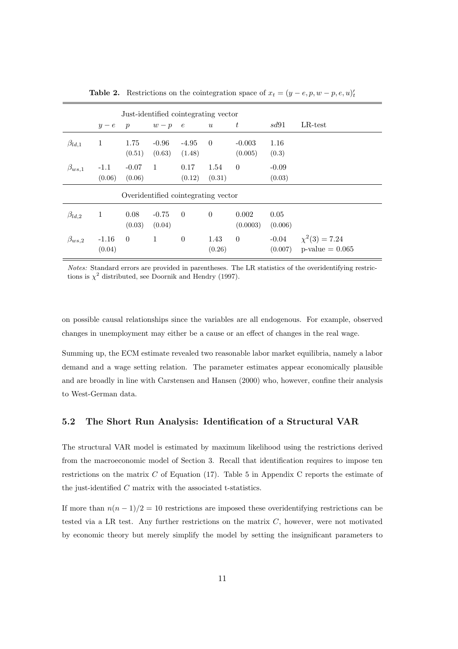|                |                   | Just-identified cointegrating vector |                   |                   |                  |                     |                    |                                          |
|----------------|-------------------|--------------------------------------|-------------------|-------------------|------------------|---------------------|--------------------|------------------------------------------|
|                | $y-e$             | $\boldsymbol{p}$                     | $w-p$             | $\epsilon$        | $\boldsymbol{u}$ | $\,t\,$             | sd91               | $LR$ -test                               |
| $\beta_{ld,1}$ | $\mathbf{1}$      | 1.75<br>(0.51)                       | $-0.96$<br>(0.63) | $-4.95$<br>(1.48) | $\overline{0}$   | $-0.003$<br>(0.005) | 1.16<br>(0.3)      |                                          |
| $\beta_{ws,1}$ | $-1.1$<br>(0.06)  | $-0.07$<br>(0.06)                    | $\overline{1}$    | 0.17<br>(0.12)    | 1.54<br>(0.31)   | $\Omega$            | $-0.09$<br>(0.03)  |                                          |
|                |                   | Overidentified cointegrating vector  |                   |                   |                  |                     |                    |                                          |
| $\beta_{ld,2}$ | 1                 | 0.08<br>(0.03)                       | $-0.75$<br>(0.04) | $\theta$          | $\theta$         | 0.002<br>(0.0003)   | 0.05<br>(0.006)    |                                          |
| $\beta_{ws,2}$ | $-1.16$<br>(0.04) | $\overline{0}$                       | $\mathbf{1}$      | $\overline{0}$    | 1.43<br>(0.26)   | $\overline{0}$      | $-0.04$<br>(0.007) | $\chi^2(3) = 7.24$<br>$p$ -value = 0.065 |

**Table 2.** Restrictions on the cointegration space of  $x_t = (y - e, p, w - p, e, u)_t$ 

Notes: Standard errors are provided in parentheses. The LR statistics of the overidentifying restrictions is  $\chi^2$  distributed, see Doornik and Hendry (1997).

on possible causal relationships since the variables are all endogenous. For example, observed changes in unemployment may either be a cause or an effect of changes in the real wage.

Summing up, the ECM estimate revealed two reasonable labor market equilibria, namely a labor demand and a wage setting relation. The parameter estimates appear economically plausible and are broadly in line with Carstensen and Hansen (2000) who, however, confine their analysis to West-German data.

### **5.2 The Short Run Analysis: Identification of a Structural VAR**

The structural VAR model is estimated by maximum likelihood using the restrictions derived from the macroeconomic model of Section 3. Recall that identification requires to impose ten restrictions on the matrix  $C$  of Equation (17). Table 5 in Appendix C reports the estimate of the just-identified C matrix with the associated t-statistics.

If more than  $n(n-1)/2 = 10$  restrictions are imposed these overidentifying restrictions can be tested via a LR test. Any further restrictions on the matrix  $C$ , however, were not motivated by economic theory but merely simplify the model by setting the insignificant parameters to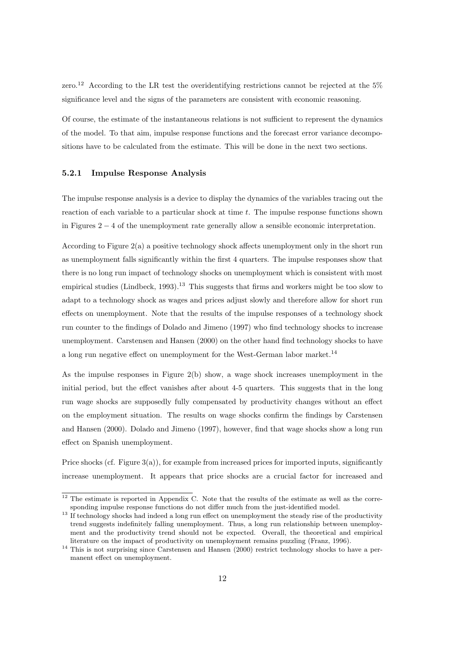zero.<sup>12</sup> According to the LR test the overidentifying restrictions cannot be rejected at the 5% significance level and the signs of the parameters are consistent with economic reasoning.

Of course, the estimate of the instantaneous relations is not sufficient to represent the dynamics of the model. To that aim, impulse response functions and the forecast error variance decompositions have to be calculated from the estimate. This will be done in the next two sections.

#### **5.2.1 Impulse Response Analysis**

The impulse response analysis is a device to display the dynamics of the variables tracing out the reaction of each variable to a particular shock at time  $t$ . The impulse response functions shown in Figures 2 − 4 of the unemployment rate generally allow a sensible economic interpretation.

According to Figure  $2(a)$  a positive technology shock affects unemployment only in the short run as unemployment falls significantly within the first 4 quarters. The impulse responses show that there is no long run impact of technology shocks on unemployment which is consistent with most empirical studies (Lindbeck, 1993).<sup>13</sup> This suggests that firms and workers might be too slow to adapt to a technology shock as wages and prices adjust slowly and therefore allow for short run effects on unemployment. Note that the results of the impulse responses of a technology shock run counter to the findings of Dolado and Jimeno (1997) who find technology shocks to increase unemployment. Carstensen and Hansen (2000) on the other hand find technology shocks to have a long run negative effect on unemployment for the West-German labor market.<sup>14</sup>

As the impulse responses in Figure  $2(b)$  show, a wage shock increases unemployment in the initial period, but the effect vanishes after about 4-5 quarters. This suggests that in the long run wage shocks are supposedly fully compensated by productivity changes without an effect on the employment situation. The results on wage shocks confirm the findings by Carstensen and Hansen (2000). Dolado and Jimeno (1997), however, find that wage shocks show a long run effect on Spanish unemployment.

Price shocks (cf. Figure  $3(a)$ ), for example from increased prices for imported inputs, significantly increase unemployment. It appears that price shocks are a crucial factor for increased and

 $12$  The estimate is reported in Appendix C. Note that the results of the estimate as well as the corresponding impulse response functions do not differ much from the just-identified model.

<sup>&</sup>lt;sup>13</sup> If technology shocks had indeed a long run effect on unemployment the steady rise of the productivity trend suggests indefinitely falling unemployment. Thus, a long run relationship between unemployment and the productivity trend should not be expected. Overall, the theoretical and empirical literature on the impact of productivity on unemployment remains puzzling (Franz, 1996).

<sup>&</sup>lt;sup>14</sup> This is not surprising since Carstensen and Hansen (2000) restrict technology shocks to have a permanent effect on unemployment.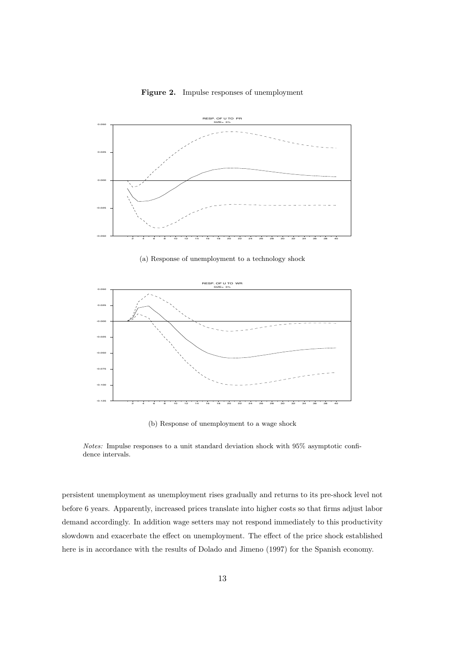

**Figure 2.** Impulse responses of unemployment

(a) Response of unemployment to a technology shock



(b) Response of unemployment to a wage shock

Notes: Impulse responses to a unit standard deviation shock with 95% asymptotic confidence intervals.

persistent unemployment as unemployment rises gradually and returns to its pre-shock level not before 6 years. Apparently, increased prices translate into higher costs so that firms adjust labor demand accordingly. In addition wage setters may not respond immediately to this productivity slowdown and exacerbate the effect on unemployment. The effect of the price shock established here is in accordance with the results of Dolado and Jimeno (1997) for the Spanish economy.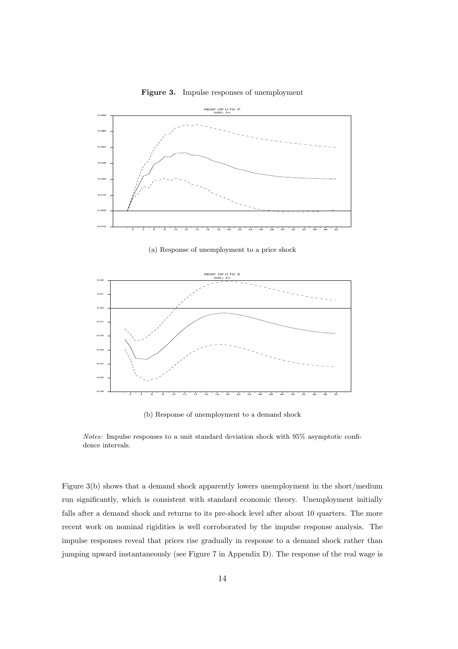

**Figure 3.** Impulse responses of unemployment

(a) Response of unemployment to a price shock



(b) Response of unemployment to a demand shock

Figure 3(b) shows that a demand shock apparently lowers unemployment in the short/medium run significantly, which is consistent with standard economic theory. Unemployment initially falls after a demand shock and returns to its pre-shock level after about 10 quarters. The more recent work on nominal rigidities is well corroborated by the impulse response analysis. The impulse responses reveal that prices rise gradually in response to a demand shock rather than jumping upward instantaneously (see Figure 7 in Appendix D). The response of the real wage is

Notes: Impulse responses to a unit standard deviation shock with 95% asymptotic confidence intervals.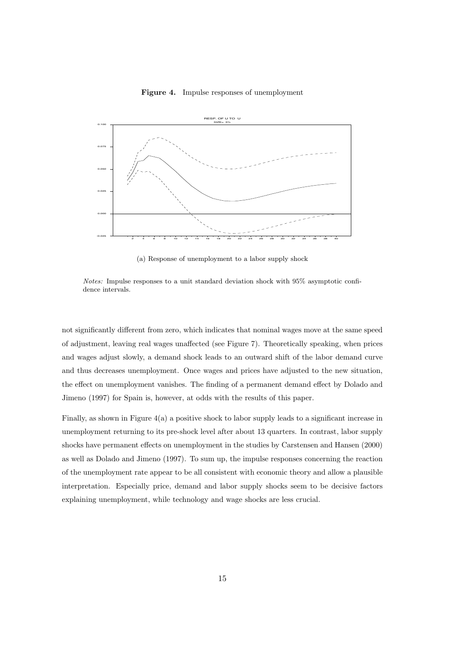



(a) Response of unemployment to a labor supply shock

Notes: Impulse responses to a unit standard deviation shock with 95% asymptotic confidence intervals.

not significantly different from zero, which indicates that nominal wages move at the same speed of adjustment, leaving real wages unaffected (see Figure 7). Theoretically speaking, when prices and wages adjust slowly, a demand shock leads to an outward shift of the labor demand curve and thus decreases unemployment. Once wages and prices have adjusted to the new situation, the effect on unemployment vanishes. The finding of a permanent demand effect by Dolado and Jimeno (1997) for Spain is, however, at odds with the results of this paper.

Finally, as shown in Figure 4(a) a positive shock to labor supply leads to a significant increase in unemployment returning to its pre-shock level after about 13 quarters. In contrast, labor supply shocks have permanent effects on unemployment in the studies by Carstensen and Hansen (2000) as well as Dolado and Jimeno (1997). To sum up, the impulse responses concerning the reaction of the unemployment rate appear to be all consistent with economic theory and allow a plausible interpretation. Especially price, demand and labor supply shocks seem to be decisive factors explaining unemployment, while technology and wage shocks are less crucial.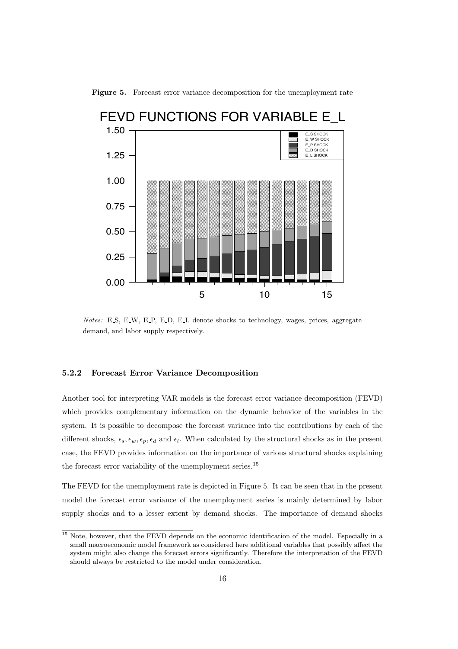

Figure 5. Forecast error variance decomposition for the unemployment rate

Notes: E S, E W, E P, E D, E L denote shocks to technology, wages, prices, aggregate demand, and labor supply respectively.

#### **5.2.2 Forecast Error Variance Decomposition**

Another tool for interpreting VAR models is the forecast error variance decomposition (FEVD) which provides complementary information on the dynamic behavior of the variables in the system. It is possible to decompose the forecast variance into the contributions by each of the different shocks,  $\epsilon_s$ ,  $\epsilon_w$ ,  $\epsilon_p$ ,  $\epsilon_d$  and  $\epsilon_l$ . When calculated by the structural shocks as in the present case, the FEVD provides information on the importance of various structural shocks explaining the forecast error variability of the unemployment series.<sup>15</sup>

The FEVD for the unemployment rate is depicted in Figure 5. It can be seen that in the present model the forecast error variance of the unemployment series is mainly determined by labor supply shocks and to a lesser extent by demand shocks. The importance of demand shocks

<sup>&</sup>lt;sup>15</sup> Note, however, that the FEVD depends on the economic identification of the model. Especially in a small macroeconomic model framework as considered here additional variables that possibly affect the system might also change the forecast errors significantly. Therefore the interpretation of the FEVD should always be restricted to the model under consideration.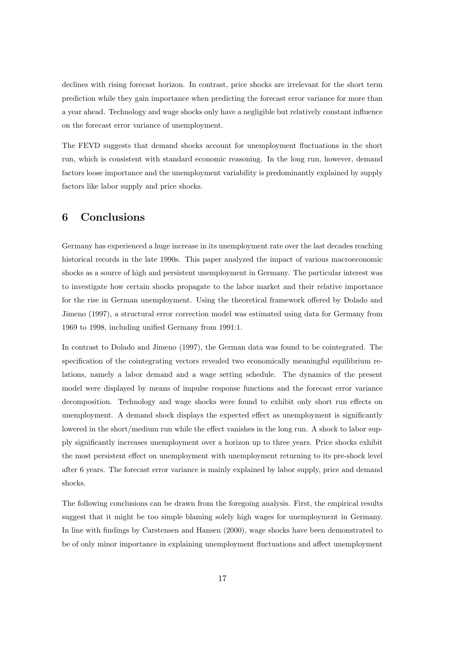declines with rising forecast horizon. In contrast, price shocks are irrelevant for the short term prediction while they gain importance when predicting the forecast error variance for more than a year ahead. Technology and wage shocks only have a negligible but relatively constant influence on the forecast error variance of unemployment.

The FEVD suggests that demand shocks account for unemployment fluctuations in the short run, which is consistent with standard economic reasoning. In the long run, however, demand factors loose importance and the unemployment variability is predominantly explained by supply factors like labor supply and price shocks.

## **6 Conclusions**

Germany has experienced a huge increase in its unemployment rate over the last decades reaching historical records in the late 1990s. This paper analyzed the impact of various macroeconomic shocks as a source of high and persistent unemployment in Germany. The particular interest was to investigate how certain shocks propagate to the labor market and their relative importance for the rise in German unemployment. Using the theoretical framework offered by Dolado and Jimeno (1997), a structural error correction model was estimated using data for Germany from 1969 to 1998, including unified Germany from 1991:1.

In contrast to Dolado and Jimeno (1997), the German data was found to be cointegrated. The specification of the cointegrating vectors revealed two economically meaningful equilibrium relations, namely a labor demand and a wage setting schedule. The dynamics of the present model were displayed by means of impulse response functions and the forecast error variance decomposition. Technology and wage shocks were found to exhibit only short run effects on unemployment. A demand shock displays the expected effect as unemployment is significantly lowered in the short/medium run while the effect vanishes in the long run. A shock to labor supply significantly increases unemployment over a horizon up to three years. Price shocks exhibit the most persistent effect on unemployment with unemployment returning to its pre-shock level after 6 years. The forecast error variance is mainly explained by labor supply, price and demand shocks.

The following conclusions can be drawn from the foregoing analysis. First, the empirical results suggest that it might be too simple blaming solely high wages for unemployment in Germany. In line with findings by Carstensen and Hansen (2000), wage shocks have been demonstrated to be of only minor importance in explaining unemployment fluctuations and affect unemployment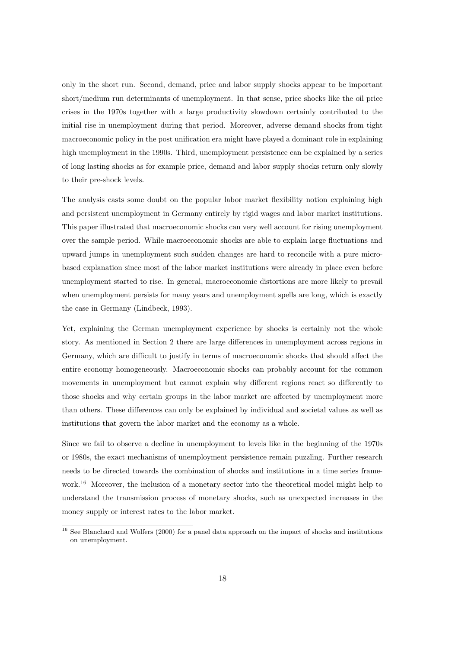only in the short run. Second, demand, price and labor supply shocks appear to be important short/medium run determinants of unemployment. In that sense, price shocks like the oil price crises in the 1970s together with a large productivity slowdown certainly contributed to the initial rise in unemployment during that period. Moreover, adverse demand shocks from tight macroeconomic policy in the post unification era might have played a dominant role in explaining high unemployment in the 1990s. Third, unemployment persistence can be explained by a series of long lasting shocks as for example price, demand and labor supply shocks return only slowly to their pre-shock levels.

The analysis casts some doubt on the popular labor market flexibility notion explaining high and persistent unemployment in Germany entirely by rigid wages and labor market institutions. This paper illustrated that macroeconomic shocks can very well account for rising unemployment over the sample period. While macroeconomic shocks are able to explain large fluctuations and upward jumps in unemployment such sudden changes are hard to reconcile with a pure microbased explanation since most of the labor market institutions were already in place even before unemployment started to rise. In general, macroeconomic distortions are more likely to prevail when unemployment persists for many years and unemployment spells are long, which is exactly the case in Germany (Lindbeck, 1993).

Yet, explaining the German unemployment experience by shocks is certainly not the whole story. As mentioned in Section 2 there are large differences in unemployment across regions in Germany, which are difficult to justify in terms of macroeconomic shocks that should affect the entire economy homogeneously. Macroeconomic shocks can probably account for the common movements in unemployment but cannot explain why different regions react so differently to those shocks and why certain groups in the labor market are affected by unemployment more than others. These differences can only be explained by individual and societal values as well as institutions that govern the labor market and the economy as a whole.

Since we fail to observe a decline in unemployment to levels like in the beginning of the 1970s or 1980s, the exact mechanisms of unemployment persistence remain puzzling. Further research needs to be directed towards the combination of shocks and institutions in a time series framework.<sup>16</sup> Moreover, the inclusion of a monetary sector into the theoretical model might help to understand the transmission process of monetary shocks, such as unexpected increases in the money supply or interest rates to the labor market.

 $\frac{16}{16}$  See Blanchard and Wolfers (2000) for a panel data approach on the impact of shocks and institutions on unemployment.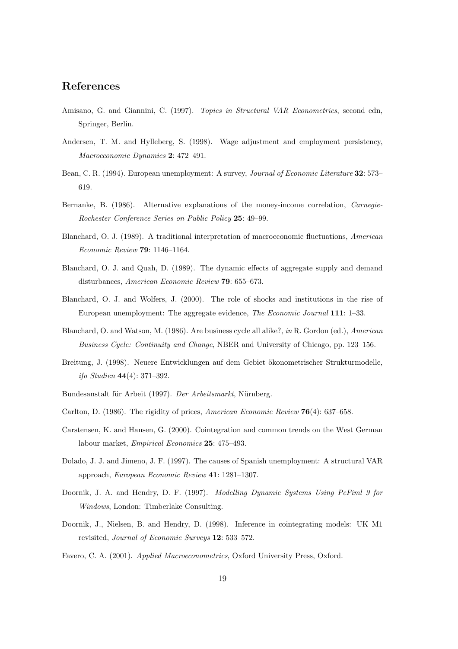### **References**

- Amisano, G. and Giannini, C. (1997). *Topics in Structural VAR Econometrics*, second edn, Springer, Berlin.
- Andersen, T. M. and Hylleberg, S. (1998). Wage adjustment and employment persistency, *Macroeconomic Dynamics* **2**: 472–491.
- Bean, C. R. (1994). European unemployment: A survey, *Journal of Economic Literature* **32**: 573– 619.
- Bernanke, B. (1986). Alternative explanations of the money-income correlation, *Carnegie-Rochester Conference Series on Public Policy* **25**: 49–99.
- Blanchard, O. J. (1989). A traditional interpretation of macroeconomic fluctuations, *American Economic Review* **79**: 1146–1164.
- Blanchard, O. J. and Quah, D. (1989). The dynamic effects of aggregate supply and demand disturbances, *American Economic Review* **79**: 655–673.
- Blanchard, O. J. and Wolfers, J. (2000). The role of shocks and institutions in the rise of European unemployment: The aggregate evidence, *The Economic Journal* **111**: 1–33.
- Blanchard, O. and Watson, M. (1986). Are business cycle all alike?, *in* R. Gordon (ed.), *American Business Cycle: Continuity and Change*, NBER and University of Chicago, pp. 123–156.
- Breitung, J. (1998). Neuere Entwicklungen auf dem Gebiet ökonometrischer Strukturmodelle, *ifo Studien* **44**(4): 371–392.
- Bundesanstalt für Arbeit (1997). *Der Arbeitsmarkt*, Nürnberg.
- Carlton, D. (1986). The rigidity of prices, *American Economic Review* **76**(4): 637–658.
- Carstensen, K. and Hansen, G. (2000). Cointegration and common trends on the West German labour market, *Empirical Economics* **25**: 475–493.
- Dolado, J. J. and Jimeno, J. F. (1997). The causes of Spanish unemployment: A structural VAR approach, *European Economic Review* **41**: 1281–1307.
- Doornik, J. A. and Hendry, D. F. (1997). *Modelling Dynamic Systems Using PcFiml 9 for Windows*, London: Timberlake Consulting.
- Doornik, J., Nielsen, B. and Hendry, D. (1998). Inference in cointegrating models: UK M1 revisited, *Journal of Economic Surveys* **12**: 533–572.
- Favero, C. A. (2001). *Applied Macroeconometrics*, Oxford University Press, Oxford.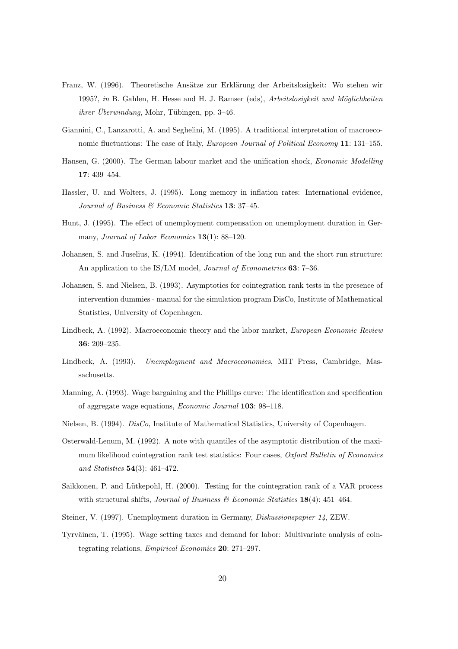- Franz, W. (1996). Theoretische Ansätze zur Erklärung der Arbeitslosigkeit: Wo stehen wir 1995?, *in* B. Gahlen, H. Hesse and H. J. Ramser (eds), *Arbeitslosigkeit und Möglichkeiten*  $\ddot{\textit{u}}$  *ihrer Überwindung*, Mohr, Tübingen, pp. 3–46.
- Giannini, C., Lanzarotti, A. and Seghelini, M. (1995). A traditional interpretation of macroeconomic fluctuations: The case of Italy, *European Journal of Political Economy* **11**: 131–155.
- Hansen, G. (2000). The German labour market and the unification shock, *Economic Modelling* **17**: 439–454.
- Hassler, U. and Wolters, J. (1995). Long memory in inflation rates: International evidence, *Journal of Business & Economic Statistics* **13**: 37–45.
- Hunt, J. (1995). The effect of unemployment compensation on unemployment duration in Germany, *Journal of Labor Economics* **13**(1): 88–120.
- Johansen, S. and Juselius, K. (1994). Identification of the long run and the short run structure: An application to the IS/LM model, *Journal of Econometrics* **63**: 7–36.
- Johansen, S. and Nielsen, B. (1993). Asymptotics for cointegration rank tests in the presence of intervention dummies - manual for the simulation program DisCo, Institute of Mathematical Statistics, University of Copenhagen.
- Lindbeck, A. (1992). Macroeconomic theory and the labor market, *European Economic Review* **36**: 209–235.
- Lindbeck, A. (1993). *Unemployment and Macroeconomics*, MIT Press, Cambridge, Massachusetts.
- Manning, A. (1993). Wage bargaining and the Phillips curve: The identification and specification of aggregate wage equations, *Economic Journal* **103**: 98–118.
- Nielsen, B. (1994). *DisCo*, Institute of Mathematical Statistics, University of Copenhagen.
- Osterwald-Lenum, M. (1992). A note with quantiles of the asymptotic distribution of the maximum likelihood cointegration rank test statistics: Four cases, *Oxford Bulletin of Economics and Statistics* **54**(3): 461–472.
- Saikkonen, P. and Lütkepohl, H. (2000). Testing for the cointegration rank of a VAR process with structural shifts, *Journal of Business & Economic Statistics* **18**(4): 451–464.
- Steiner, V. (1997). Unemployment duration in Germany, *Diskussionspapier 14*, ZEW.
- Tyrväinen, T. (1995). Wage setting taxes and demand for labor: Multivariate analysis of cointegrating relations, *Empirical Economics* **20**: 271–297.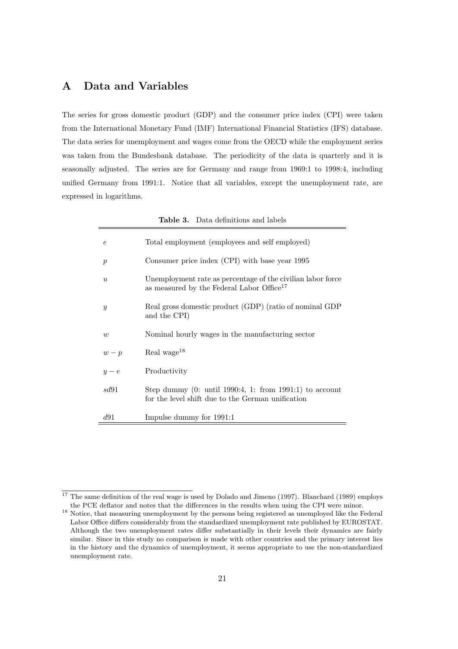# **A Data and Variables**

The series for gross domestic product (GDP) and the consumer price index (CPI) were taken from the International Monetary Fund (IMF) International Financial Statistics (IFS) database. The data series for unemployment and wages come from the OECD while the employment series was taken from the Bundesbank database. The periodicity of the data is quarterly and it is seasonally adjusted. The series are for Germany and range from 1969:1 to 1998:4, including unified Germany from 1991:1. Notice that all variables, except the unemployment rate, are expressed in logarithms.

|                  | <b>Table 3.</b> Data definitions and labels                                                                          |
|------------------|----------------------------------------------------------------------------------------------------------------------|
| $\epsilon$       | Total employment (employees and self employed)                                                                       |
| $\boldsymbol{p}$ | Consumer price index (CPI) with base year 1995                                                                       |
| $\boldsymbol{u}$ | Unemployment rate as percentage of the civilian labor force<br>as measured by the Federal Labor Office <sup>17</sup> |
| $\mathcal{Y}$    | Real gross domestic product (GDP) (ratio of nominal GDP<br>and the CPI)                                              |
| w                | Nominal hourly wages in the manufacturing sector                                                                     |
| $w-p$            | Real wage <sup>18</sup>                                                                                              |
| $y-e$            | Productivity                                                                                                         |
| sd91             | Step dummy $(0:$ until 1990:4, 1: from 1991:1) to account<br>for the level shift due to the German unification       |
| d91              | Impulse dummy for 1991:1                                                                                             |

<sup>&</sup>lt;sup>17</sup> The same definition of the real wage is used by Dolado and Jimeno (1997). Blanchard (1989) employs the PCE deflator and notes that the differences in the results when using the CPI were minor.

<sup>&</sup>lt;sup>18</sup> Notice, that measuring unemployment by the persons being registered as unemployed like the Federal Labor Office differs considerably from the standardized unemployment rate published by EUROSTAT. Although the two unemployment rates differ substantially in their levels their dynamics are fairly similar. Since in this study no comparison is made with other countries and the primary interest lies in the history and the dynamics of unemployment, it seems appropriate to use the non-standardized unemployment rate.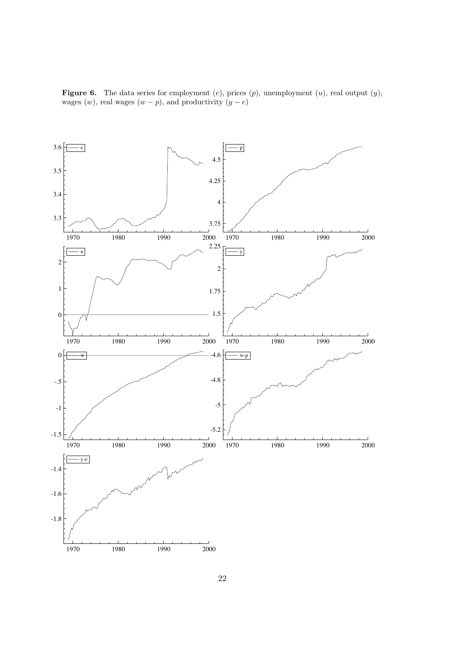**Figure 6.** The data series for employment  $(e)$ , prices  $(p)$ , unemployment  $(u)$ , real output  $(y)$ , wages  $(w)$ , real wages  $(w - p)$ , and productivity  $(y - e)$ 

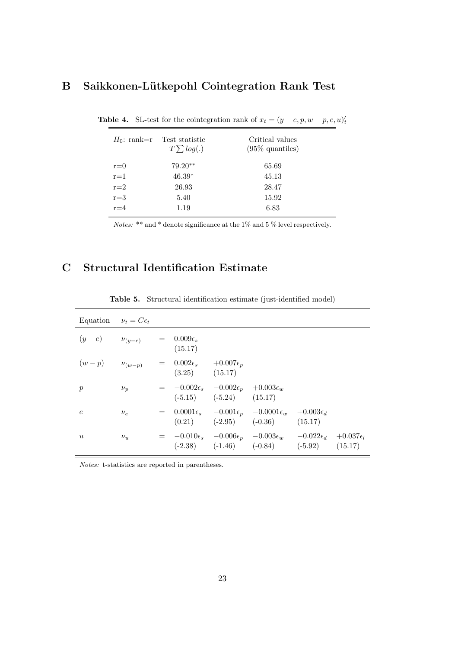# **B** Saikkonen-Lütkepohl Cointegration Rank Test

| $H_0$ : rank=r | Test statistic<br>$-T \sum log(.)$ | Critical values<br>$(95\%$ quantiles) |
|----------------|------------------------------------|---------------------------------------|
| $r=0$          | $79.20**$                          | 65.69                                 |
| $r = 1$        | $46.39*$                           | 45.13                                 |
| $r=2$          | 26.93                              | 28.47                                 |
| $r = 3$        | 5.40                               | 15.92                                 |
| $r = 4$        | 1.19                               | 6.83                                  |

**Table 4.** SL-test for the cointegration rank of  $x_t = (y - e, p, w - p, e, u)_t$ 

Notes: \*\* and \* denote significance at the 1% and 5 % level respectively.

# **C Structural Identification Estimate**

| Equation $\nu_t = C \epsilon_t$ |               |                                                             |                                                                                           |                                                                                                   |                               |                               |
|---------------------------------|---------------|-------------------------------------------------------------|-------------------------------------------------------------------------------------------|---------------------------------------------------------------------------------------------------|-------------------------------|-------------------------------|
| $(y-e)$ $\nu_{(y-e)}$           |               | $= 0.009\epsilon_{s}$<br>(15.17)                            |                                                                                           |                                                                                                   |                               |                               |
| $(w-p)$                         | $\nu_{(w-p)}$ | $= 0.002\epsilon_s + 0.007\epsilon_p$<br>$(3.25)$ $(15.17)$ |                                                                                           |                                                                                                   |                               |                               |
| $\mathcal{p}$                   | $\nu_p$       |                                                             | $= -0.002\epsilon_s - 0.002\epsilon_p + 0.003\epsilon_w$<br>$(-5.15)$ $(-5.24)$ $(15.17)$ |                                                                                                   |                               |                               |
| $\epsilon$                      | $\nu_e$       |                                                             |                                                                                           | $= 0.0001\epsilon_s -0.001\epsilon_p -0.0001\epsilon_w$<br>$(0.21)$ $(-2.95)$ $(-0.36)$           | $+0.003\epsilon_d$<br>(15.17) |                               |
| $\boldsymbol{u}$                | $\nu_u$       |                                                             |                                                                                           | $= -0.010\epsilon_s -0.006\epsilon_p -0.003\epsilon_w$<br>$(-2.38)$ $(-1.46)$ $(-0.84)$ $(-5.92)$ | $-0.022\epsilon_d$            | $+0.037\epsilon_l$<br>(15.17) |

**Table 5.** Structural identification estimate (just-identified model)

Notes: t-statistics are reported in parentheses.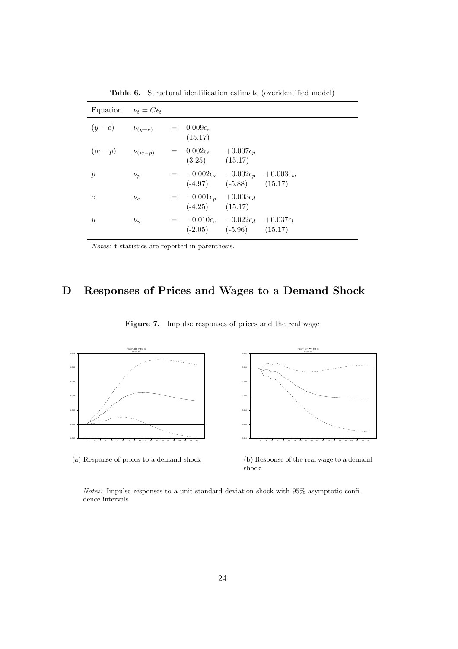| Equation $\nu_t = C \epsilon_t$ |         |                                                                  |                               |  |
|---------------------------------|---------|------------------------------------------------------------------|-------------------------------|--|
| $(y-e)$ $\nu_{(y-e)}$           |         | $= 0.009\epsilon$<br>(15.17)                                     |                               |  |
| $(w-p)$ $\nu_{(w-p)}$           |         | $= 0.002\epsilon_s + 0.007\epsilon_p$<br>$(3.25)$ $(15.17)$      |                               |  |
| $\mathcal{p}$                   | $\nu_p$ | $= -0.002\epsilon_s -0.002\epsilon_p +0.003\epsilon_w$           | $(-4.97)$ $(-5.88)$ $(15.17)$ |  |
| $\epsilon$                      | $\nu_e$ | $=$ $-0.001\epsilon_p$ $+0.003\epsilon_d$<br>$(-4.25)$ $(15.17)$ |                               |  |
| $\boldsymbol{u}$                | $\nu_u$ | $=$ $-0.010\epsilon_s$ $-0.022\epsilon_d$ $+0.037\epsilon_l$     | $(-2.05)$ $(-5.96)$ $(15.17)$ |  |

**Table 6.** Structural identification estimate (overidentified model)

Notes: t-statistics are reported in parenthesis.

# **D Responses of Prices and Wages to a Demand Shock**





(a) Response of prices to a demand shock

(b) Response of the real wage to a demand shock

Notes: Impulse responses to a unit standard deviation shock with 95% asymptotic confidence intervals.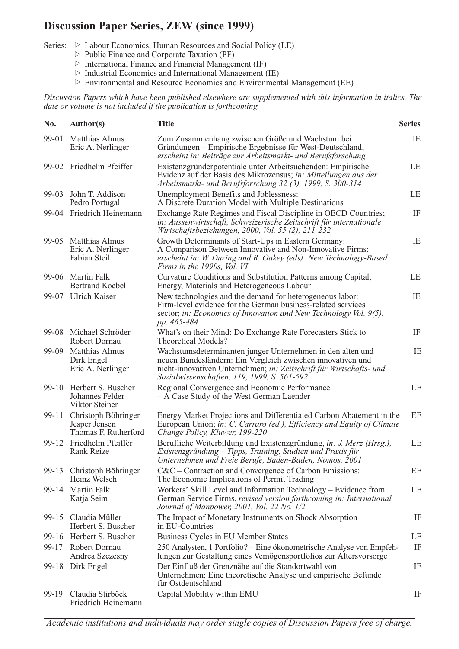# **Discussion Paper Series, ZEW (since 1999)**

Series:  $\triangleright$  Labour Economics, Human Resources and Social Policy (LE)

- $\triangleright$  Public Finance and Corporate Taxation (PF)
- $\triangleright$  International Finance and Financial Management (IF)
- $\triangleright$  Industrial Economics and International Management (IE)
- $\triangleright$  Environmental and Resource Economics and Environmental Management (EE)

*Discussion Papers which have been published elsewhere are supplemented with this information in italics. The date or volume is not included if the publication is forthcoming.*

| No.     | <b>Author(s)</b>                                             | <b>Title</b>                                                                                                                                                                                                                                    | <b>Series</b> |
|---------|--------------------------------------------------------------|-------------------------------------------------------------------------------------------------------------------------------------------------------------------------------------------------------------------------------------------------|---------------|
| 99-01   | <b>Matthias Almus</b><br>Eric A. Nerlinger                   | Zum Zusammenhang zwischen Größe und Wachstum bei<br>Gründungen – Empirische Ergebnisse für West-Deutschland;<br>erscheint in: Beiträge zur Arbeitsmarkt- und Berufsforschung                                                                    | IE            |
| 99-02   | Friedhelm Pfeiffer                                           | Existenzgründerpotentiale unter Arbeitsuchenden: Empirische<br>Evidenz auf der Basis des Mikrozensus; in: Mitteilungen aus der<br>Arbeitsmarkt- und Berufsforschung 32 (3), 1999, S. 300-314                                                    | LE            |
| 99-03   | John T. Addison<br>Pedro Portugal                            | Unemployment Benefits and Joblessness:<br>A Discrete Duration Model with Multiple Destinations                                                                                                                                                  | LE            |
| 99-04   | Friedrich Heinemann                                          | Exchange Rate Regimes and Fiscal Discipline in OECD Countries;<br>in: Aussenwirtschaft, Schweizerische Zeitschrift für internationale<br>Wirtschaftsbeziehungen, 2000, Vol. 55 (2), 211-232                                                     | IF            |
| 99-05   | <b>Matthias Almus</b><br>Eric A. Nerlinger<br>Fabian Steil   | Growth Determinants of Start-Ups in Eastern Germany:<br>A Comparison Between Innovative and Non-Innovative Firms;<br>erscheint in: W. During and R. Oakey (eds): New Technology-Based<br>Firms in the 1990s, Vol. VI                            | IE            |
| 99-06   | Martin Falk<br><b>Bertrand Koebel</b>                        | Curvature Conditions and Substitution Patterns among Capital,<br>Energy, Materials and Heterogeneous Labour                                                                                                                                     | LE            |
|         | 99-07 Ulrich Kaiser                                          | New technologies and the demand for heterogeneous labor:<br>Firm-level evidence for the German business-related services<br>sector; in: Economics of Innovation and New Technology Vol. 9(5),<br>pp. 465-484                                    | IE            |
| 99-08   | Michael Schröder<br>Robert Dornau                            | What's on their Mind: Do Exchange Rate Forecasters Stick to<br><b>Theoretical Models?</b>                                                                                                                                                       | IF            |
| 99-09   | Matthias Almus<br>Dirk Engel<br>Eric A. Nerlinger            | Wachstumsdeterminanten junger Unternehmen in den alten und<br>neuen Bundesländern: Ein Vergleich zwischen innovativen und<br>nicht-innovativen Unternehmen; in: Zeitschrift für Wirtschafts- und<br>Sozialwissenschaften, 119, 1999, S. 561-592 | IE            |
| $99-10$ | Herbert S. Buscher<br>Johannes Felder<br>Viktor Steiner      | Regional Convergence and Economic Performance<br>- A Case Study of the West German Laender                                                                                                                                                      | LE            |
| 99-11   | Christoph Böhringer<br>Jesper Jensen<br>Thomas F. Rutherford | Energy Market Projections and Differentiated Carbon Abatement in the<br>European Union; in: C. Carraro (ed.), Efficiency and Equity of Climate<br>Change Policy, Kluwer, 199-220                                                                | EE            |
| 99-12   | Friedhelm Pfeiffer<br>Rank Reize                             | Berufliche Weiterbildung und Existenzgründung, in: J. Merz (Hrsg.),<br>Existenzgründung - Tipps, Training, Studien und Praxis für<br>Unternehmen und Freie Berufe, Baden-Baden, Nomos, 2001                                                     | LE            |
|         | 99-13 Christoph Böhringer<br>Heinz Welsch                    | $C&C$ – Contraction and Convergence of Carbon Emissions:<br>The Economic Implications of Permit Trading                                                                                                                                         | EE            |
| 99-14   | Martin Falk<br>Katja Seim                                    | Workers' Skill Level and Information Technology – Evidence from<br>German Service Firms, revised version forthcoming in: International<br>Journal of Manpower, 2001, Vol. 22 No. 1/2                                                            | LE            |
| 99-15   | Claudia Müller<br>Herbert S. Buscher                         | The Impact of Monetary Instruments on Shock Absorption<br>in EU-Countries                                                                                                                                                                       | IF            |
| 99-16   | Herbert S. Buscher                                           | Business Cycles in EU Member States                                                                                                                                                                                                             | LE            |
| 99-17   | Robert Dornau<br>Andrea Szczesny                             | 250 Analysten, 1 Portfolio? – Eine ökonometrische Analyse von Empfeh-<br>lungen zur Gestaltung eines Vemögensportfolios zur Altersvorsorge                                                                                                      | IF            |
|         | 99-18 Dirk Engel                                             | Der Einfluß der Grenznähe auf die Standortwahl von<br>Unternehmen: Eine theoretische Analyse und empirische Befunde<br>für Ostdeutschland                                                                                                       | IE            |
| 99-19   | Claudia Stirböck<br>Friedrich Heinemann                      | Capital Mobility within EMU                                                                                                                                                                                                                     | IF            |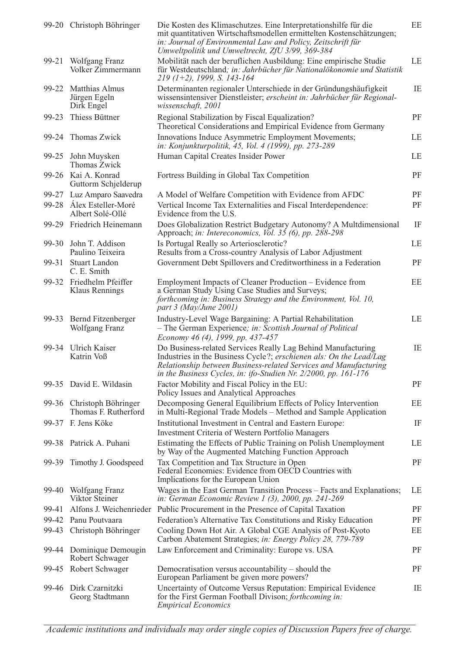|       | 99-20 Christoph Böhringer                          | Die Kosten des Klimaschutzes. Eine Interpretationshilfe für die<br>mit quantitativen Wirtschaftsmodellen ermittelten Kostenschätzungen;<br>in: Journal of Environmental Law and Policy, Zeitschrift für<br>Umweltpolitik und Umweltrecht, ZfU 3/99, 369-384               | EE        |
|-------|----------------------------------------------------|---------------------------------------------------------------------------------------------------------------------------------------------------------------------------------------------------------------------------------------------------------------------------|-----------|
| 99-21 | Wolfgang Franz<br>Volker Zimmermann                | Mobilität nach der beruflichen Ausbildung: Eine empirische Studie<br>für Westdeutschland; in: Jahrbücher für Nationalökonomie und Statistik<br>$219 (1+2)$ , 1999, S. 143-164                                                                                             | LE        |
|       | 99-22 Matthias Almus<br>Jürgen Egeln<br>Dirk Engel | Determinanten regionaler Unterschiede in der Gründungshäufigkeit<br>wissensintensiver Dienstleister; erscheint in: Jahrbücher für Regional-<br>wissenschaft, 2001                                                                                                         | IE        |
| 99-23 | Thiess Büttner                                     | Regional Stabilization by Fiscal Equalization?<br>Theoretical Considerations and Empirical Evidence from Germany                                                                                                                                                          | PF        |
|       | 99-24 Thomas Zwick                                 | Innovations Induce Asymmetric Employment Movements;<br>in: Konjunkturpolitik, 45, Vol. 4 (1999), pp. 273-289                                                                                                                                                              | LE        |
|       | 99-25 John Muysken<br>Thomas Zwick                 | Human Capital Creates Insider Power                                                                                                                                                                                                                                       | LE        |
|       | 99-26 Kai A. Konrad<br>Guttorm Schjelderup         | Fortress Building in Global Tax Competition                                                                                                                                                                                                                               | PF        |
|       | 99-27 Luz Amparo Saavedra                          | A Model of Welfare Competition with Evidence from AFDC                                                                                                                                                                                                                    | PF        |
|       | 99-28 Álex Esteller-Moré<br>Albert Solé-Ollé       | Vertical Income Tax Externalities and Fiscal Interdependence:<br>Evidence from the U.S.                                                                                                                                                                                   | PF        |
|       | 99-29 Friedrich Heinemann                          | Does Globalization Restrict Budgetary Autonomy? A Multdimensional<br>Approach; in: Intereconomics, Vol. 35 (6), pp. 288-298                                                                                                                                               | IF        |
|       | 99-30 John T. Addison<br>Paulino Teixeira          | Is Portugal Really so Arteriosclerotic?<br>Results from a Cross-country Analysis of Labor Adjustment                                                                                                                                                                      | LE        |
| 99-31 | <b>Stuart Landon</b><br>C. E. Smith                | Government Debt Spillovers and Creditworthiness in a Federation                                                                                                                                                                                                           | PF        |
|       | 99-32 Friedhelm Pfeiffer<br>Klaus Rennings         | Employment Impacts of Cleaner Production – Evidence from<br>a German Study Using Case Studies and Surveys;<br>forthcoming in: Business Strategy and the Environment, Vol. 10,<br>part 3 (May/June 2001)                                                                   | EE        |
|       | 99-33 Bernd Fitzenberger<br>Wolfgang Franz         | Industry-Level Wage Bargaining: A Partial Rehabilitation<br>- The German Experience; in: Scottish Journal of Political<br>Economy 46 (4), 1999, pp. 437-457                                                                                                               | LE        |
| 99-34 | <b>Ulrich Kaiser</b><br>Katrin Voß                 | Do Business-related Services Really Lag Behind Manufacturing<br>Industries in the Business Cycle?; erschienen als: On the Lead/Lag<br>Relationship between Business-related Services and Manufacturing<br>in the Business Cycles, in: ifo-Studien Nr. 2/2000, pp. 161-176 | IE        |
|       | 99-35 David E. Wildasin                            | Factor Mobility and Fiscal Policy in the EU:<br>Policy Issues and Analytical Approaches                                                                                                                                                                                   | PF        |
| 99-36 | Christoph Böhringer<br>Thomas F. Rutherford        | Decomposing General Equilibrium Effects of Policy Intervention<br>in Multi-Regional Trade Models – Method and Sample Application                                                                                                                                          | EE        |
|       | 99-37 F. Jens Köke                                 | Institutional Investment in Central and Eastern Europe:<br><b>Investment Criteria of Western Portfolio Managers</b>                                                                                                                                                       | IF        |
|       | 99-38 Patrick A. Puhani                            | Estimating the Effects of Public Training on Polish Unemployment<br>by Way of the Augmented Matching Function Approach                                                                                                                                                    | LE        |
| 99-39 | Timothy J. Goodspeed                               | Tax Competition and Tax Structure in Open<br>Federal Economies: Evidence from OECD Countries with<br>Implications for the European Union                                                                                                                                  | PF        |
| 99-40 | Wolfgang Franz<br>Viktor Steiner                   | Wages in the East German Transition Process – Facts and Explanations;<br>in: German Economic Review 1 (3), 2000, pp. 241-269                                                                                                                                              | LE        |
| 99-41 | Alfons J. Weichenrieder                            | Public Procurement in the Presence of Capital Taxation                                                                                                                                                                                                                    | PF        |
|       | 99-42 Panu Poutvaara                               | Federation's Alternative Tax Constitutions and Risky Education                                                                                                                                                                                                            | PF        |
|       | 99-43 Christoph Böhringer                          | Cooling Down Hot Air. A Global CGE Analysis of Post-Kyoto<br>Carbon Abatement Strategies; in: Energy Policy 28, 779-789                                                                                                                                                   | EE        |
|       | 99-44 Dominique Demougin<br>Robert Schwager        | Law Enforcement and Criminality: Europe vs. USA                                                                                                                                                                                                                           | <b>PF</b> |
| 99-45 | Robert Schwager                                    | Democratisation versus accountability $-$ should the<br>European Parliament be given more powers?                                                                                                                                                                         | <b>PF</b> |
| 99-46 | Dirk Czarnitzki<br>Georg Stadtmann                 | Uncertainty of Outcome Versus Reputation: Empirical Evidence<br>for the First German Football Divison; forthcoming in:<br><b>Empirical Economics</b>                                                                                                                      | IE        |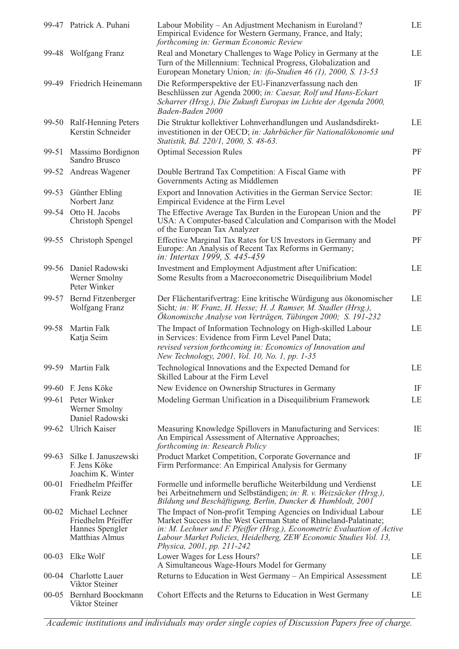|           | 99-47 Patrick A. Puhani                                                                 | Labour Mobility – An Adjustment Mechanism in Euroland?<br>Empirical Evidence for Western Germany, France, and Italy;<br>forthcoming in: German Economic Review                                                                                                                                                    | LE |
|-----------|-----------------------------------------------------------------------------------------|-------------------------------------------------------------------------------------------------------------------------------------------------------------------------------------------------------------------------------------------------------------------------------------------------------------------|----|
|           | 99-48 Wolfgang Franz                                                                    | Real and Monetary Challenges to Wage Policy in Germany at the<br>Turn of the Millennium: Technical Progress, Globalization and<br>European Monetary Union; in: ifo-Studien 46 (1), 2000, S. 13-53                                                                                                                 | LE |
|           | 99-49 Friedrich Heinemann                                                               | Die Reformperspektive der EU-Finanzverfassung nach den<br>Beschlüssen zur Agenda 2000; in: Caesar, Rolf und Hans-Eckart<br>Scharrer (Hrsg.), Die Zukunft Europas im Lichte der Agenda 2000,<br>Baden-Baden 2000                                                                                                   | IF |
|           | 99-50 Ralf-Henning Peters<br>Kerstin Schneider                                          | Die Struktur kollektiver Lohnverhandlungen und Auslandsdirekt-<br>investitionen in der OECD; in: Jahrbücher für Nationalökonomie und<br>Statistik, Bd. 220/1, 2000, S. 48-63.                                                                                                                                     | LE |
|           | 99-51 Massimo Bordignon<br>Sandro Brusco                                                | <b>Optimal Secession Rules</b>                                                                                                                                                                                                                                                                                    | PF |
|           | 99-52 Andreas Wagener                                                                   | Double Bertrand Tax Competition: A Fiscal Game with<br>Governments Acting as Middlemen                                                                                                                                                                                                                            | PF |
| 99-53     | Günther Ebling<br>Norbert Janz                                                          | Export and Innovation Activities in the German Service Sector:<br>Empirical Evidence at the Firm Level                                                                                                                                                                                                            | IE |
| 99-54     | Otto H. Jacobs<br>Christoph Spengel                                                     | The Effective Average Tax Burden in the European Union and the<br>USA: A Computer-based Calculation and Comparison with the Model<br>of the European Tax Analyzer                                                                                                                                                 | PF |
| 99-55     | Christoph Spengel                                                                       | Effective Marginal Tax Rates for US Investors in Germany and<br>Europe: An Analysis of Recent Tax Reforms in Germany;<br>in: Intertax 1999, S. 445-459                                                                                                                                                            | PF |
|           | 99-56 Daniel Radowski<br>Werner Smolny<br>Peter Winker                                  | Investment and Employment Adjustment after Unification:<br>Some Results from a Macroeconometric Disequilibrium Model                                                                                                                                                                                              | LE |
|           | 99-57 Bernd Fitzenberger<br>Wolfgang Franz                                              | Der Flächentarifvertrag: Eine kritische Würdigung aus ökonomischer<br>Sicht; in: W. Franz, H. Hesse; H. J. Ramser, M. Stadler (Hrsg.),<br>Ökonomische Analyse von Verträgen, Tübingen 2000; S. 191-232                                                                                                            | LE |
| 99-58     | Martin Falk<br>Katja Seim                                                               | The Impact of Information Technology on High-skilled Labour<br>in Services: Evidence from Firm Level Panel Data;<br>revised version forthcoming in: Economics of Innovation and<br>New Technology, 2001, Vol. 10, No. 1, pp. 1-35                                                                                 | LE |
|           | 99-59 Martin Falk                                                                       | Technological Innovations and the Expected Demand for<br>Skilled Labour at the Firm Level                                                                                                                                                                                                                         | LE |
|           | 99-60 F. Jens Köke                                                                      | New Evidence on Ownership Structures in Germany                                                                                                                                                                                                                                                                   | IF |
|           | 99-61 Peter Winker<br>Werner Smolny<br>Daniel Radowski                                  | Modeling German Unification in a Disequilibrium Framework                                                                                                                                                                                                                                                         | LE |
|           | 99-62 Ulrich Kaiser                                                                     | Measuring Knowledge Spillovers in Manufacturing and Services:<br>An Empirical Assessment of Alternative Approaches;<br>forthcoming in: Research Policy                                                                                                                                                            | IE |
| 99-63     | Silke I. Januszewski<br>F. Jens Köke<br>Joachim K. Winter                               | Product Market Competition, Corporate Governance and<br>Firm Performance: An Empirical Analysis for Germany                                                                                                                                                                                                       | IF |
|           | 00-01 Friedhelm Pfeiffer<br>Frank Reize                                                 | Formelle und informelle berufliche Weiterbildung und Verdienst<br>bei Arbeitnehmern und Selbständigen; in: R. v. Weizsäcker (Hrsg.),<br>Bildung und Beschäftigung, Berlin, Duncker & Humblodt, 2001                                                                                                               | LE |
|           | 00-02 Michael Lechner<br>Friedhelm Pfeiffer<br>Hannes Spengler<br><b>Matthias Almus</b> | The Impact of Non-profit Temping Agencies on Individual Labour<br>Market Success in the West German State of Rhineland-Palatinate;<br>in: M. Lechner und F. Pfeiffer (Hrsg.), Econometric Evaluation of Active<br>Labour Market Policies, Heidelberg, ZEW Economic Studies Vol. 13,<br>Physica, 2001, pp. 211-242 | LE |
| $00 - 03$ | Elke Wolf                                                                               | Lower Wages for Less Hours?<br>A Simultaneous Wage-Hours Model for Germany                                                                                                                                                                                                                                        | LE |
|           | 00-04 Charlotte Lauer<br>Viktor Steiner                                                 | Returns to Education in West Germany – An Empirical Assessment                                                                                                                                                                                                                                                    | LE |
| $00 - 05$ | <b>Bernhard Boockmann</b><br>Viktor Steiner                                             | Cohort Effects and the Returns to Education in West Germany                                                                                                                                                                                                                                                       | LE |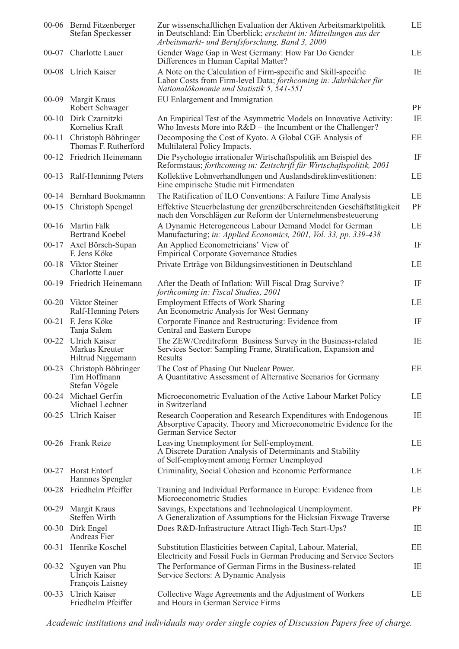|           | 00-06 Bernd Fitzenberger<br>Stefan Speckesser                    | Zur wissenschaftlichen Evaluation der Aktiven Arbeitsmarktpolitik<br>in Deutschland: Ein Überblick; erscheint in: Mitteilungen aus der<br>Arbeitsmarkt- und Berufsforschung, Band 3, 2000 | LE       |
|-----------|------------------------------------------------------------------|-------------------------------------------------------------------------------------------------------------------------------------------------------------------------------------------|----------|
| $00 - 07$ | Charlotte Lauer                                                  | Gender Wage Gap in West Germany: How Far Do Gender<br>Differences in Human Capital Matter?                                                                                                | LE       |
|           | 00-08 Ulrich Kaiser                                              | A Note on the Calculation of Firm-specific and Skill-specific<br>Labor Costs from Firm-level Data; forthcoming in: Jahrbücher für<br>Nationalökonomie und Statistik 5, 541-551            | IE       |
|           | 00-09 Margit Kraus<br>Robert Schwager                            | EU Enlargement and Immigration                                                                                                                                                            | PF       |
| $00-10$   | Dirk Czarnitzki<br>Kornelius Kraft                               | An Empirical Test of the Asymmetric Models on Innovative Activity:<br>Who Invests More into $R&D$ – the Incumbent or the Challenger?                                                      | IE       |
| $00 - 11$ | Christoph Böhringer<br>Thomas F. Rutherford                      | Decomposing the Cost of Kyoto. A Global CGE Analysis of<br>Multilateral Policy Impacts.                                                                                                   | EE       |
|           | 00-12 Friedrich Heinemann                                        | Die Psychologie irrationaler Wirtschaftspolitik am Beispiel des<br>Reformstaus; forthcoming in: Zeitschrift für Wirtschaftspolitik, 2001                                                  | IF       |
|           | 00-13 Ralf-Henninng Peters                                       | Kollektive Lohnverhandlungen und Auslandsdirektinvestitionen:<br>Eine empirische Studie mit Firmendaten                                                                                   | LE       |
|           | 00-14 Bernhard Bookmannn                                         | The Ratification of ILO Conventions: A Failure Time Analysis                                                                                                                              | LE       |
|           | 00-15 Christoph Spengel                                          | Effektive Steuerbelastung der grenzüberschreitenden Geschäftstätigkeit<br>nach den Vorschlägen zur Reform der Unternehmensbesteuerung                                                     | PF       |
|           | 00-16 Martin Falk<br><b>Bertrand Koebel</b>                      | A Dynamic Heterogeneous Labour Demand Model for German<br>Manufacturing; in: Applied Economics, 2001, Vol. 33, pp. 339-438                                                                | LE       |
|           | 00-17 Axel Börsch-Supan<br>F. Jens Köke                          | An Applied Econometricians' View of<br><b>Empirical Corporate Governance Studies</b>                                                                                                      | IF       |
|           | 00-18 Viktor Steiner<br><b>Charlotte Lauer</b>                   | Private Erträge von Bildungsinvestitionen in Deutschland                                                                                                                                  | LE       |
|           | 00-19 Friedrich Heinemann                                        | After the Death of Inflation: Will Fiscal Drag Survive?<br>forthcoming in: Fiscal Studies, 2001                                                                                           | IF       |
|           | 00-20 Viktor Steiner<br>Ralf-Henning Peters                      | Employment Effects of Work Sharing –<br>An Econometric Analysis for West Germany                                                                                                          | LE       |
|           | 00-21 F. Jens Köke<br>Tanja Salem                                | Corporate Finance and Restructuring: Evidence from<br>Central and Eastern Europe                                                                                                          | IF       |
| $00 - 22$ | <b>Ulrich Kaiser</b><br>Markus Kreuter<br>Hiltrud Niggemann      | The ZEW/Creditreform Business Survey in the Business-related<br>Services Sector: Sampling Frame, Stratification, Expansion and<br>Results                                                 | IE       |
|           | 00-23 Christoph Böhringer<br>Tim Hoffmann<br>Stefan Vögele       | The Cost of Phasing Out Nuclear Power.<br>A Quantitative Assessment of Alternative Scenarios for Germany                                                                                  | $\rm EE$ |
|           | 00-24 Michael Gerfin<br>Michael Lechner                          | Microeconometric Evaluation of the Active Labour Market Policy<br>in Switzerland                                                                                                          | LE       |
|           | 00-25 Ulrich Kaiser                                              | Research Cooperation and Research Expenditures with Endogenous<br>Absorptive Capacity. Theory and Microeconometric Evidence for the<br>German Service Sector                              | IE       |
|           | 00-26 Frank Reize                                                | Leaving Unemployment for Self-employment.<br>A Discrete Duration Analysis of Determinants and Stability<br>of Self-employment among Former Unemployed                                     | LE       |
|           | 00-27 Horst Entorf<br>Hannnes Spengler                           | Criminality, Social Cohesion and Economic Performance                                                                                                                                     | LE       |
|           | 00-28 Friedhelm Pfeiffer                                         | Training and Individual Performance in Europe: Evidence from<br>Microeconometric Studies                                                                                                  | LE       |
|           | 00-29 Margit Kraus<br>Steffen Wirth                              | Savings, Expectations and Technological Unemployment.<br>A Generalization of Assumptions for the Hicksian Fixwage Traverse                                                                | PF       |
|           | 00-30 Dirk Engel<br>Andreas Fier                                 | Does R&D-Infrastructure Attract High-Tech Start-Ups?                                                                                                                                      | IE       |
|           | 00-31 Henrike Koschel                                            | Substitution Elasticities between Capital, Labour, Material,<br>Electricity and Fossil Fuels in German Producing and Service Sectors                                                      | EE       |
|           | 00-32 Nguyen van Phu<br><b>Ulrich Kaiser</b><br>François Laisney | The Performance of German Firms in the Business-related<br>Service Sectors: A Dynamic Analysis                                                                                            | IE       |
| $00 - 33$ | <b>Ulrich Kaiser</b><br>Friedhelm Pfeiffer                       | Collective Wage Agreements and the Adjustment of Workers<br>and Hours in German Service Firms                                                                                             | LE       |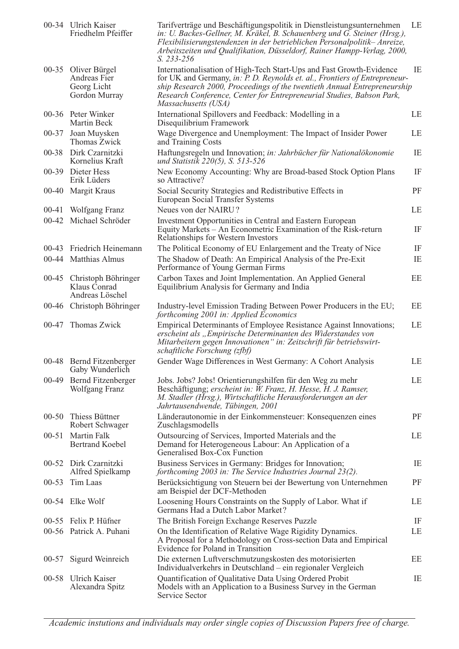|           | 00-34 Ulrich Kaiser<br>Friedhelm Pfeiffer                     | Tarifverträge und Beschäftigungspolitik in Dienstleistungsunternehmen<br>in: U. Backes-Gellner, M. Kräkel, B. Schauenberg und G. Steiner (Hrsg.),<br>Flexibilisierungstendenzen in der betrieblichen Personalpolitik-Anreize,<br>Arbeitszeiten und Qualifikation, Düsseldorf, Rainer Hampp-Verlag, 2000,<br>$S. 233 - 256$     | LE       |
|-----------|---------------------------------------------------------------|--------------------------------------------------------------------------------------------------------------------------------------------------------------------------------------------------------------------------------------------------------------------------------------------------------------------------------|----------|
| $00 - 35$ | Oliver Bürgel<br>Andreas Fier<br>Georg Licht<br>Gordon Murray | Internationalisation of High-Tech Start-Ups and Fast Growth-Evidence<br>for UK and Germany, in: P. D. Reynolds et. al., Frontiers of Entrepreneur-<br>ship Research 2000, Proceedings of the twentieth Annual Entrepreneurship<br>Research Conference, Center for Entrepreneurial Studies, Babson Park,<br>Massachusetts (USA) | IE       |
|           | 00-36 Peter Winker<br>Martin Beck                             | International Spillovers and Feedback: Modelling in a<br>Disequilibrium Framework                                                                                                                                                                                                                                              | LE       |
| $00 - 37$ | Joan Muysken<br>Thomas Zwick                                  | Wage Divergence and Unemployment: The Impact of Insider Power<br>and Training Costs                                                                                                                                                                                                                                            | LE       |
| $00 - 38$ | Dirk Czarnitzki<br>Kornelius Kraft                            | Haftungsregeln und Innovation; in: Jahrbücher für Nationalökonomie<br>und Statistik 220(5), S. 513-526                                                                                                                                                                                                                         | IE       |
| $00 - 39$ | Dieter Hess<br>Erik Lüders                                    | New Economy Accounting: Why are Broad-based Stock Option Plans<br>so Attractive?                                                                                                                                                                                                                                               | IF       |
|           | 00-40 Margit Kraus                                            | Social Security Strategies and Redistributive Effects in<br>European Social Transfer Systems                                                                                                                                                                                                                                   | PF       |
| $00 - 41$ | Wolfgang Franz                                                | Neues von der NAIRU?                                                                                                                                                                                                                                                                                                           | LE       |
| $00-42$   | Michael Schröder                                              | Investment Opportunities in Central and Eastern European<br>Equity Markets - An Econometric Examination of the Risk-return<br>Relationships for Western Investors                                                                                                                                                              | IF       |
| $00-43$   | Friedrich Heinemann                                           | The Political Economy of EU Enlargement and the Treaty of Nice                                                                                                                                                                                                                                                                 | $\rm IF$ |
|           | 00-44 Matthias Almus                                          | The Shadow of Death: An Empirical Analysis of the Pre-Exit<br>Performance of Young German Firms                                                                                                                                                                                                                                | IE       |
|           | 00-45 Christoph Böhringer<br>Klaus Conrad<br>Andreas Löschel  | Carbon Taxes and Joint Implementation. An Applied General<br>Equilibrium Analysis for Germany and India                                                                                                                                                                                                                        | EE       |
|           | 00-46 Christoph Böhringer                                     | Industry-level Emission Trading Between Power Producers in the EU;<br>forthcoming 2001 in: Applied Economics                                                                                                                                                                                                                   | EE       |
| 00-47     | Thomas Zwick                                                  | Empirical Determinants of Employee Resistance Against Innovations;<br>erscheint als "Empirische Determinanten des Widerstandes von<br>Mitarbeitern gegen Innovationen" in: Zeitschrift für betriebswirt-<br>schaftliche Forschung (zfbf)                                                                                       | LE       |
|           | 00-48 Bernd Fitzenberger<br>Gaby Wunderlich                   | Gender Wage Differences in West Germany: A Cohort Analysis                                                                                                                                                                                                                                                                     | LE       |
| $00-49$   | Bernd Fitzenberger<br>Wolfgang Franz                          | Jobs. Jobs? Jobs! Orientierungshilfen für den Weg zu mehr<br>Beschäftigung; erscheint in: W. Franz, H. Hesse, H. J. Ramser,<br>M. Stadler (Hrsg.), Wirtschaftliche Herausforderungen an der<br>Jahrtausendwende, Tübingen, 2001                                                                                                | LE       |
| $00 - 50$ | Thiess Büttner<br>Robert Schwager                             | Länderautonomie in der Einkommensteuer: Konsequenzen eines<br>Zuschlagsmodells                                                                                                                                                                                                                                                 | PF       |
| $00 - 51$ | <b>Martin Falk</b><br><b>Bertrand Koebel</b>                  | Outsourcing of Services, Imported Materials and the<br>Demand for Heterogeneous Labour: An Application of a<br>Generalised Box-Cox Function                                                                                                                                                                                    | LE       |
|           | 00-52 Dirk Czarnitzki<br>Alfred Spielkamp                     | Business Services in Germany: Bridges for Innovation;<br>forthcoming 2003 in: The Service Industries Journal 23(2).                                                                                                                                                                                                            | IE       |
| $00 - 53$ | Tim Laas                                                      | Berücksichtigung von Steuern bei der Bewertung von Unternehmen<br>am Beispiel der DCF-Methoden                                                                                                                                                                                                                                 | PF       |
|           | 00-54 Elke Wolf                                               | Loosening Hours Constraints on the Supply of Labor. What if<br>Germans Had a Dutch Labor Market?                                                                                                                                                                                                                               | LE       |
|           | 00-55 Felix P. Hüfner                                         | The British Foreign Exchange Reserves Puzzle                                                                                                                                                                                                                                                                                   | IF       |
|           | 00-56 Patrick A. Puhani                                       | On the Identification of Relative Wage Rigidity Dynamics.<br>A Proposal for a Methodology on Cross-section Data and Empirical<br>Evidence for Poland in Transition                                                                                                                                                             | LE       |
| $00 - 57$ | Sigurd Weinreich                                              | Die externen Luftverschmutzungskosten des motorisierten<br>Individualverkehrs in Deutschland – ein regionaler Vergleich                                                                                                                                                                                                        | EE       |
| $00 - 58$ | Ulrich Kaiser<br>Alexandra Spitz                              | Quantification of Qualitative Data Using Ordered Probit<br>Models with an Application to a Business Survey in the German<br>Service Sector                                                                                                                                                                                     | IE       |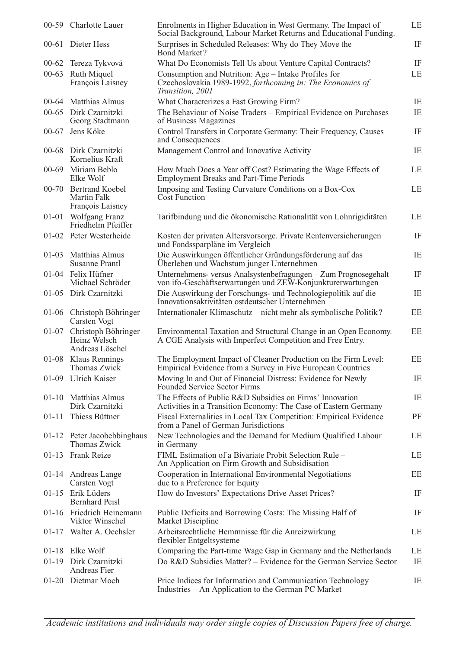|           | 00-59 Charlotte Lauer                                    | Enrolments in Higher Education in West Germany. The Impact of<br>Social Background, Labour Market Returns and Educational Funding.     | LE |
|-----------|----------------------------------------------------------|----------------------------------------------------------------------------------------------------------------------------------------|----|
|           | 00-61 Dieter Hess                                        | Surprises in Scheduled Releases: Why do They Move the<br><b>Bond Market?</b>                                                           | IF |
| $00 - 62$ | Tereza Tykvová                                           | What Do Economists Tell Us about Venture Capital Contracts?                                                                            | IF |
| $00 - 63$ | Ruth Miquel<br>François Laisney                          | Consumption and Nutrition: Age – Intake Profiles for<br>Czechoslovakia 1989-1992, forthcoming in: The Economics of<br>Transition, 2001 | LE |
|           | 00-64 Matthias Almus                                     | What Characterizes a Fast Growing Firm?                                                                                                | IE |
|           | 00-65 Dirk Czarnitzki<br>Georg Stadtmann                 | The Behaviour of Noise Traders - Empirical Evidence on Purchases<br>of Business Magazines                                              | IE |
|           | 00-67 Jens Köke                                          | Control Transfers in Corporate Germany: Their Frequency, Causes<br>and Consequences                                                    | IF |
|           | 00-68 Dirk Czarnitzki<br>Kornelius Kraft                 | Management Control and Innovative Activity                                                                                             | IE |
|           | 00-69 Miriam Beblo<br>Elke Wolf                          | How Much Does a Year off Cost? Estimating the Wage Effects of<br><b>Employment Breaks and Part-Time Periods</b>                        | LE |
|           | 00-70 Bertrand Koebel<br>Martin Falk<br>François Laisney | Imposing and Testing Curvature Conditions on a Box-Cox<br>Cost Function                                                                | LE |
| $01 - 01$ | Wolfgang Franz<br>Friedhelm Pfeiffer                     | Tarifbindung und die ökonomische Rationalität von Lohnrigiditäten                                                                      | LE |
|           | 01-02 Peter Westerheide                                  | Kosten der privaten Altersvorsorge. Private Rentenversicherungen<br>und Fondssparpläne im Vergleich                                    | IF |
|           | 01-03 Matthias Almus<br><b>Susanne Prantl</b>            | Die Auswirkungen öffentlicher Gründungsförderung auf das<br>Überleben und Wachstum junger Unternehmen                                  | IE |
|           | 01-04 Felix Hüfner<br>Michael Schröder                   | Unternehmens- versus Analsystenbefragungen - Zum Prognosegehalt<br>von ifo-Geschäftserwartungen und ZEW-Konjunkturerwartungen          | IF |
|           | 01-05 Dirk Czarnitzki                                    | Die Auswirkung der Forschungs- und Technologiepolitik auf die<br>Innovationsaktivitäten ostdeutscher Unternehmen                       | IE |
|           | 01-06 Christoph Böhringer<br>Carsten Vogt                | Internationaler Klimaschutz – nicht mehr als symbolische Politik?                                                                      | EE |
| 01-07     | Christoph Böhringer<br>Heinz Welsch<br>Andreas Löschel   | Environmental Taxation and Structural Change in an Open Economy.<br>A CGE Analysis with Imperfect Competition and Free Entry.          | EE |
|           | 01-08 Klaus Rennings<br>Thomas Zwick                     | The Employment Impact of Cleaner Production on the Firm Level:<br>Empirical Evidence from a Survey in Five European Countries          | EE |
| $01-09$   | <b>Ulrich Kaiser</b>                                     | Moving In and Out of Financial Distress: Evidence for Newly<br>Founded Service Sector Firms                                            | IE |
|           | 01-10 Matthias Almus<br>Dirk Czarnitzki                  | The Effects of Public R&D Subsidies on Firms' Innovation<br>Activities in a Transition Economy: The Case of Eastern Germany            | IE |
| $01 - 11$ | Thiess Büttner                                           | Fiscal Externalities in Local Tax Competition: Empirical Evidence<br>from a Panel of German Jurisdictions                              | PF |
|           | 01-12 Peter Jacobebbinghaus<br>Thomas Zwick              | New Technologies and the Demand for Medium Qualified Labour<br>in Germany                                                              | LE |
| $01-13$   | <b>Frank Reize</b>                                       | FIML Estimation of a Bivariate Probit Selection Rule -<br>An Application on Firm Growth and Subsidisation                              | LE |
|           | 01-14 Andreas Lange<br>Carsten Vogt                      | Cooperation in International Environmental Negotiations<br>due to a Preference for Equity                                              | EE |
| $01 - 15$ | Erik Lüders<br><b>Bernhard Peisl</b>                     | How do Investors' Expectations Drive Asset Prices?                                                                                     | IF |
|           | 01-16 Friedrich Heinemann<br>Viktor Winschel             | Public Deficits and Borrowing Costs: The Missing Half of<br>Market Discipline                                                          | IF |
|           | 01-17 Walter A. Oechsler                                 | Arbeitsrechtliche Hemmnisse für die Anreizwirkung<br>flexibler Entgeltsysteme                                                          | LE |
|           | 01-18 Elke Wolf                                          | Comparing the Part-time Wage Gap in Germany and the Netherlands                                                                        | LE |
| $01-19$   | Dirk Czarnitzki<br>Andreas Fier                          | Do R&D Subsidies Matter? – Evidence for the German Service Sector                                                                      | IE |
|           | 01-20 Dietmar Moch                                       | Price Indices for Information and Communication Technology<br>Industries – An Application to the German PC Market                      | IE |